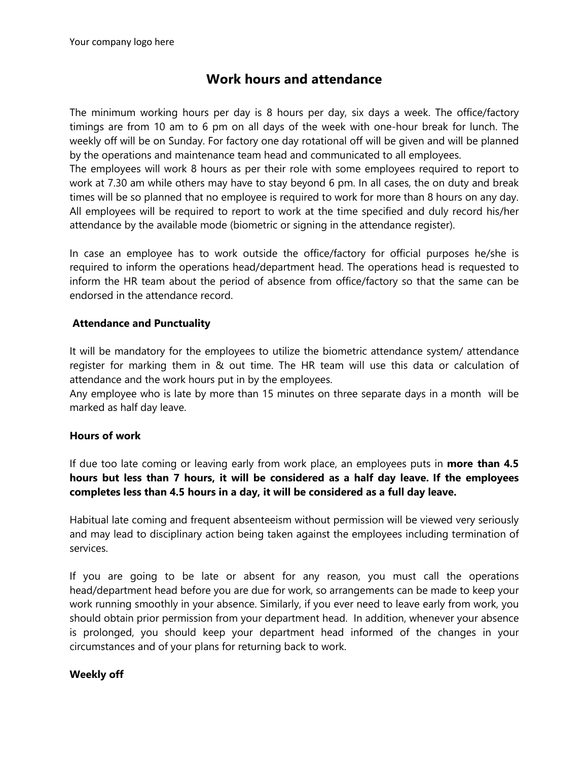# **Work hours and attendance**

The minimum working hours per day is 8 hours per day, six days a week. The office/factory timings are from 10 am to 6 pm on all days of the week with one-hour break for lunch. The weekly off will be on Sunday. For factory one day rotational off will be given and will be planned by the operations and maintenance team head and communicated to all employees.

The employees will work 8 hours as per their role with some employees required to report to work at 7.30 am while others may have to stay beyond 6 pm. In all cases, the on duty and break times will be so planned that no employee is required to work for more than 8 hours on any day. All employees will be required to report to work at the time specified and duly record his/her attendance by the available mode (biometric or signing in the attendance register).

In case an employee has to work outside the office/factory for official purposes he/she is required to inform the operations head/department head. The operations head is requested to inform the HR team about the period of absence from office/factory so that the same can be endorsed in the attendance record.

### **Attendance and Punctuality**

It will be mandatory for the employees to utilize the biometric attendance system/ attendance register for marking them in & out time. The HR team will use this data or calculation of attendance and the work hours put in by the employees.

Any employee who is late by more than 15 minutes on three separate days in a month will be marked as half day leave.

### **Hours of work**

If due too late coming or leaving early from work place, an employees puts in **more than 4.5 hours but less than 7 hours, it will be considered as a half day leave. If the employees completes less than 4.5 hours in a day, it will be considered as a full day leave.**

Habitual late coming and frequent absenteeism without permission will be viewed very seriously and may lead to disciplinary action being taken against the employees including termination of services.

If you are going to be late or absent for any reason, you must call the operations head/department head before you are due for work, so arrangements can be made to keep your work running smoothly in your absence. Similarly, if you ever need to leave early from work, you should obtain prior permission from your department head. In addition, whenever your absence is prolonged, you should keep your department head informed of the changes in your circumstances and of your plans for returning back to work.

#### **Weekly off**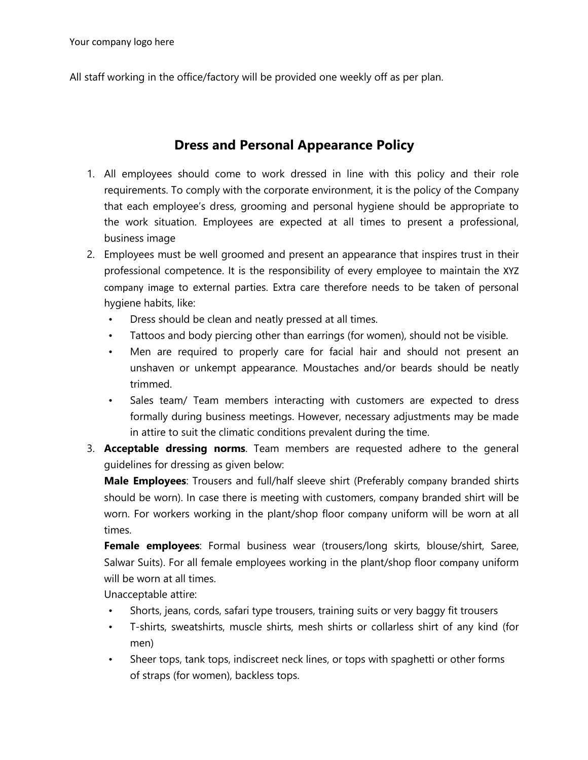All staff working in the office/factory will be provided one weekly off as per plan.

# **Dress and Personal Appearance Policy**

- 1. All employees should come to work dressed in line with this policy and their role requirements. To comply with the corporate environment, it is the policy of the Company that each employee's dress, grooming and personal hygiene should be appropriate to the work situation. Employees are expected at all times to present a professional, business image
- 2. Employees must be well groomed and present an appearance that inspires trust in their professional competence. It is the responsibility of every employee to maintain the XYZ company image to external parties. Extra care therefore needs to be taken of personal hygiene habits, like:
	- Dress should be clean and neatly pressed at all times.
	- Tattoos and body piercing other than earrings (for women), should not be visible.
	- Men are required to properly care for facial hair and should not present an unshaven or unkempt appearance. Moustaches and/or beards should be neatly trimmed.
	- Sales team/ Team members interacting with customers are expected to dress formally during business meetings. However, necessary adjustments may be made in attire to suit the climatic conditions prevalent during the time.
- 3. **Acceptable dressing norms**. Team members are requested adhere to the general guidelines for dressing as given below:

**Male Employees**: Trousers and full/half sleeve shirt (Preferably company branded shirts should be worn). In case there is meeting with customers, company branded shirt will be worn. For workers working in the plant/shop floor company uniform will be worn at all times.

**Female employees**: Formal business wear (trousers/long skirts, blouse/shirt, Saree, Salwar Suits). For all female employees working in the plant/shop floor company uniform will be worn at all times.

Unacceptable attire:

- Shorts, jeans, cords, safari type trousers, training suits or very baggy fit trousers
- T-shirts, sweatshirts, muscle shirts, mesh shirts or collarless shirt of any kind (for men)
- Sheer tops, tank tops, indiscreet neck lines, or tops with spaghetti or other forms of straps (for women), backless tops.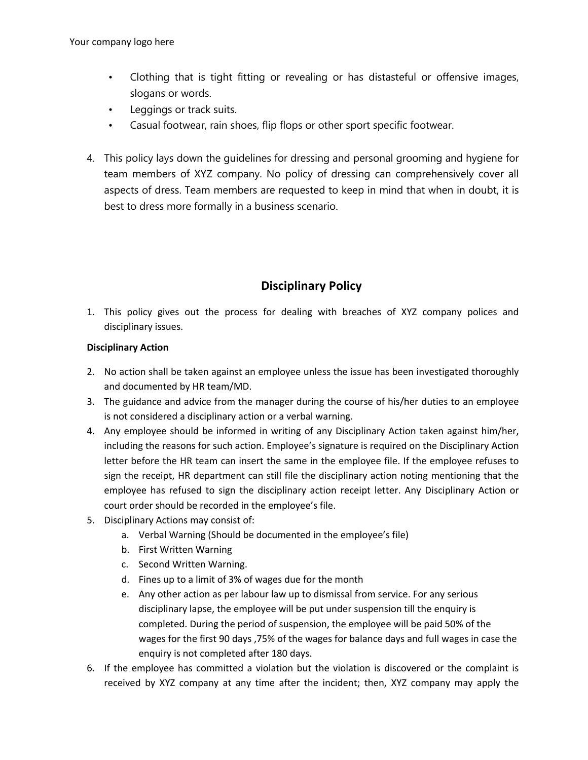- Clothing that is tight fitting or revealing or has distasteful or offensive images, slogans or words.
- Leggings or track suits.
- Casual footwear, rain shoes, flip flops or other sport specific footwear.
- 4. This policy lays down the guidelines for dressing and personal grooming and hygiene for team members of XYZ company. No policy of dressing can comprehensively cover all aspects of dress. Team members are requested to keep in mind that when in doubt, it is best to dress more formally in a business scenario.

# **Disciplinary Policy**

1. This policy gives out the process for dealing with breaches of XYZ company polices and disciplinary issues.

#### **Disciplinary Action**

- 2. No action shall be taken against an employee unless the issue has been investigated thoroughly and documented by HR team/MD.
- 3. The guidance and advice from the manager during the course of his/her duties to an employee is not considered a disciplinary action or a verbal warning.
- 4. Any employee should be informed in writing of any Disciplinary Action taken against him/her, including the reasons for such action. Employee's signature is required on the Disciplinary Action letter before the HR team can insert the same in the employee file. If the employee refuses to sign the receipt, HR department can still file the disciplinary action noting mentioning that the employee has refused to sign the disciplinary action receipt letter. Any Disciplinary Action or court order should be recorded in the employee's file.
- 5. Disciplinary Actions may consist of:
	- a. Verbal Warning (Should be documented in the employee's file)
	- b. First Written Warning
	- c. Second Written Warning.
	- d. Fines up to a limit of 3% of wages due for the month
	- e. Any other action as per labour law up to dismissal from service. For any serious disciplinary lapse, the employee will be put under suspension till the enquiry is completed. During the period of suspension, the employee will be paid 50% of the wages for the first 90 days ,75% of the wages for balance days and full wages in case the enquiry is not completed after 180 days.
- 6. If the employee has committed a violation but the violation is discovered or the complaint is received by XYZ company at any time after the incident; then, XYZ company may apply the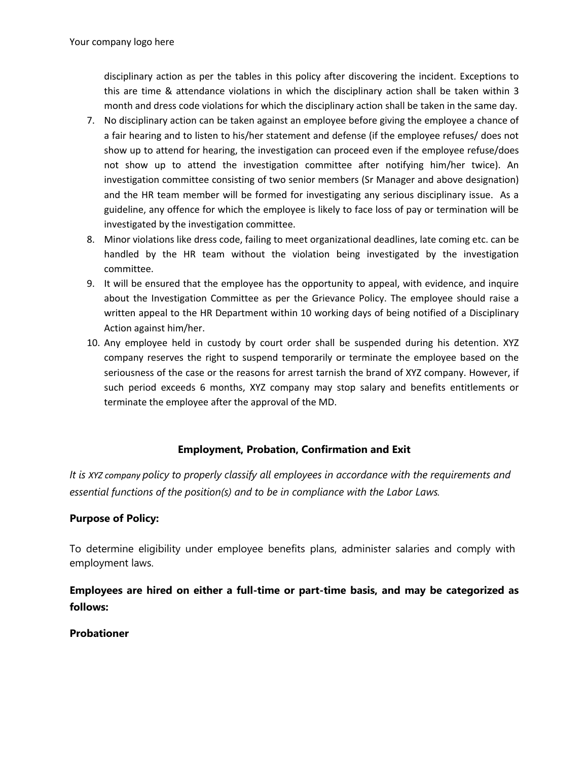disciplinary action as per the tables in this policy after discovering the incident. Exceptions to this are time & attendance violations in which the disciplinary action shall be taken within 3 month and dress code violations for which the disciplinary action shall be taken in the same day.

- 7. No disciplinary action can be taken against an employee before giving the employee a chance of a fair hearing and to listen to his/her statement and defense (if the employee refuses/ does not show up to attend for hearing, the investigation can proceed even if the employee refuse/does not show up to attend the investigation committee after notifying him/her twice). An investigation committee consisting of two senior members (Sr Manager and above designation) and the HR team member will be formed for investigating any serious disciplinary issue. As a guideline, any offence for which the employee is likely to face loss of pay or termination will be investigated by the investigation committee.
- 8. Minor violations like dress code, failing to meet organizational deadlines, late coming etc. can be handled by the HR team without the violation being investigated by the investigation committee.
- 9. It will be ensured that the employee has the opportunity to appeal, with evidence, and inquire about the Investigation Committee as per the Grievance Policy. The employee should raise a written appeal to the HR Department within 10 working days of being notified of a Disciplinary Action against him/her.
- 10. Any employee held in custody by court order shall be suspended during his detention. XYZ company reserves the right to suspend temporarily or terminate the employee based on the seriousness of the case or the reasons for arrest tarnish the brand of XYZ company. However, if such period exceeds 6 months, XYZ company may stop salary and benefits entitlements or terminate the employee after the approval of the MD.

#### **Employment, Probation, Confirmation and Exit**

*It is XYZ company policy to properly classify all employees in accordance with the requirements and essential functions of the position(s) and to be in compliance with the Labor Laws.*

#### **Purpose of Policy:**

To determine eligibility under employee benefits plans, administer salaries and comply with employment laws.

**Employees are hired on either a full-time or part-time basis, and may be categorized as follows:**

**Probationer**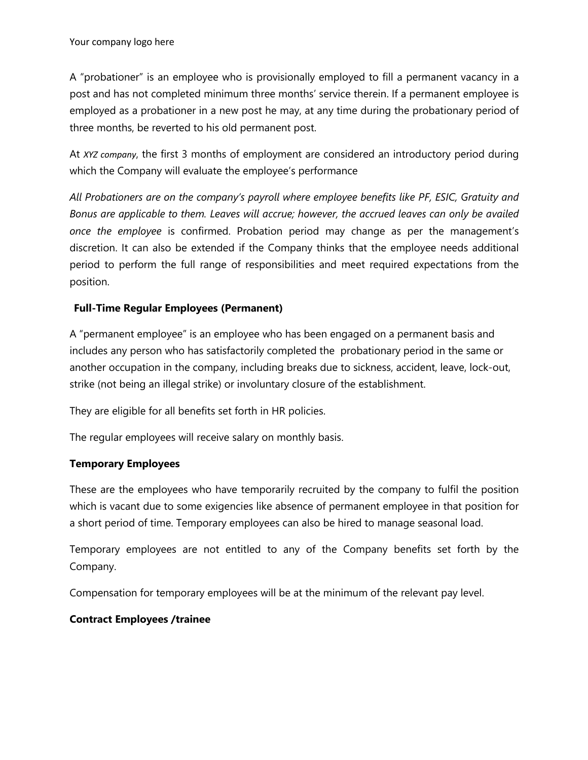A "probationer" is an employee who is provisionally employed to fill a permanent vacancy in a post and has not completed minimum three months' service therein. If a permanent employee is employed as a probationer in a new post he may, at any time during the probationary period of three months, be reverted to his old permanent post.

At *XYZ company*, the first 3 months of employment are considered an introductory period during which the Company will evaluate the employee's performance

*All Probationers are on the company's payroll where employee benefits like PF, ESIC, Gratuity and Bonus are applicable to them. Leaves will accrue; however, the accrued leaves can only be availed once the employee* is confirmed. Probation period may change as per the management's discretion. It can also be extended if the Company thinks that the employee needs additional period to perform the full range of responsibilities and meet required expectations from the position.

### **Full-Time Regular Employees (Permanent)**

A "permanent employee" is an employee who has been engaged on a permanent basis and includes any person who has satisfactorily completed the probationary period in the same or another occupation in the company, including breaks due to sickness, accident, leave, lock-out, strike (not being an illegal strike) or involuntary closure of the establishment.

They are eligible for all benefits set forth in HR policies.

The regular employees will receive salary on monthly basis.

### **Temporary Employees**

These are the employees who have temporarily recruited by the company to fulfil the position which is vacant due to some exigencies like absence of permanent employee in that position for a short period of time. Temporary employees can also be hired to manage seasonal load.

Temporary employees are not entitled to any of the Company benefits set forth by the Company.

Compensation for temporary employees will be at the minimum of the relevant pay level.

### **Contract Employees /trainee**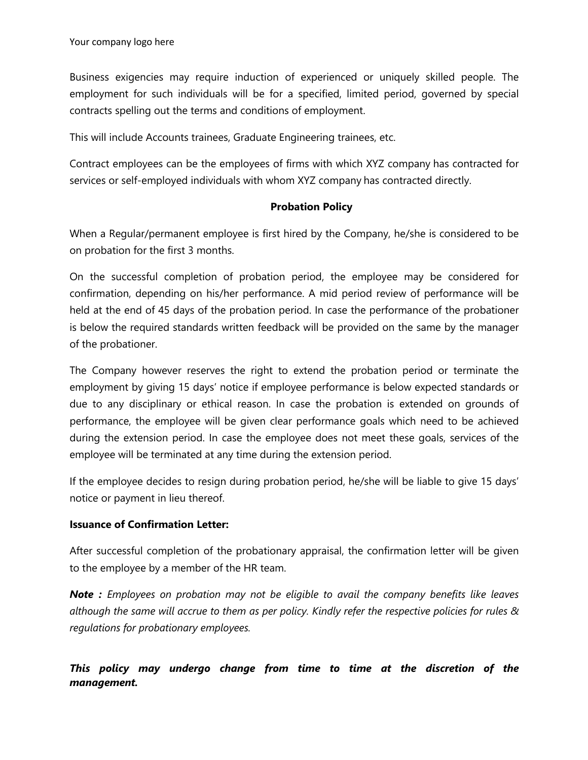Business exigencies may require induction of experienced or uniquely skilled people. The employment for such individuals will be for a specified, limited period, governed by special contracts spelling out the terms and conditions of employment.

This will include Accounts trainees, Graduate Engineering trainees, etc.

Contract employees can be the employees of firms with which XYZ company has contracted for services or self-employed individuals with whom XYZ company has contracted directly.

#### **Probation Policy**

When a Regular/permanent employee is first hired by the Company, he/she is considered to be on probation for the first 3 months.

On the successful completion of probation period, the employee may be considered for confirmation, depending on his/her performance. A mid period review of performance will be held at the end of 45 days of the probation period. In case the performance of the probationer is below the required standards written feedback will be provided on the same by the manager of the probationer.

The Company however reserves the right to extend the probation period or terminate the employment by giving 15 days' notice if employee performance is below expected standards or due to any disciplinary or ethical reason. In case the probation is extended on grounds of performance, the employee will be given clear performance goals which need to be achieved during the extension period. In case the employee does not meet these goals, services of the employee will be terminated at any time during the extension period.

If the employee decides to resign during probation period, he/she will be liable to give 15 days' notice or payment in lieu thereof.

### **Issuance of Confirmation Letter:**

After successful completion of the probationary appraisal, the confirmation letter will be given to the employee by a member of the HR team.

*Note : Employees on probation may not be eligible to avail the company benefits like leaves* although the same will accrue to them as per policy. Kindly refer the respective policies for rules & *regulations for probationary employees.*

## *This policy may undergo change from time to time at the discretion of the management.*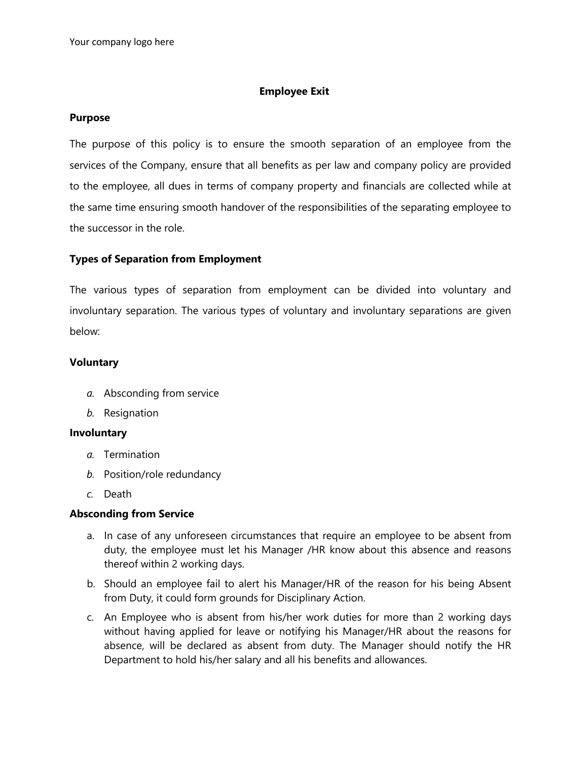#### **Employee Exit**

#### **Purpose**

The purpose of this policy is to ensure the smooth separation of an employee from the services of the Company, ensure that all benefits as per law and company policy are provided to the employee, all dues in terms of company property and financials are collected while at the same time ensuring smooth handover of the responsibilities of the separating employee to the successor in the role.

#### **Types of Separation from Employment**

The various types of separation from employment can be divided into voluntary and involuntary separation. The various types of voluntary and involuntary separations are given below:

#### **Voluntary**

- *a.* Absconding from service
- *b.* Resignation

#### **Involuntary**

- *a.* Termination
- *b.* Position/role redundancy
- *c.* Death

#### **Absconding from Service**

- a. In case of any unforeseen circumstances that require an employee to be absent from duty, the employee must let his Manager /HR know about this absence and reasons thereof within 2 working days.
- b. Should an employee fail to alert his Manager/HR of the reason for his being Absent from Duty, it could form grounds for Disciplinary Action.
- c. An Employee who is absent from his/her work duties for more than 2 working days without having applied for leave or notifying his Manager/HR about the reasons for absence, will be declared as absent from duty. The Manager should notify the HR Department to hold his/her salary and all his benefits and allowances.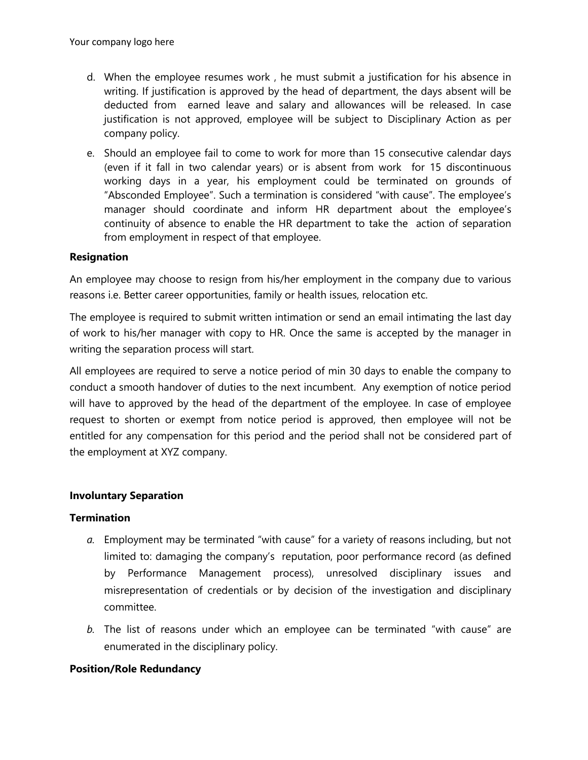- d. When the employee resumes work , he must submit a justification for his absence in writing. If justification is approved by the head of department, the days absent will be deducted from earned leave and salary and allowances will be released. In case justification is not approved, employee will be subject to Disciplinary Action as per company policy.
- e. Should an employee fail to come to work for more than 15 consecutive calendar days (even if it fall in two calendar years) or is absent from work for 15 discontinuous working days in a year, his employment could be terminated on grounds of "Absconded Employee". Such a termination is considered "with cause". The employee's manager should coordinate and inform HR department about the employee's continuity of absence to enable the HR department to take the action of separation from employment in respect of that employee.

### **Resignation**

An employee may choose to resign from his/her employment in the company due to various reasons i.e. Better career opportunities, family or health issues, relocation etc.

The employee is required to submit written intimation or send an email intimating the last day of work to his/her manager with copy to HR. Once the same is accepted by the manager in writing the separation process will start.

All employees are required to serve a notice period of min 30 days to enable the company to conduct a smooth handover of duties to the next incumbent. Any exemption of notice period will have to approved by the head of the department of the employee. In case of employee request to shorten or exempt from notice period is approved, then employee will not be entitled for any compensation for this period and the period shall not be considered part of the employment at XYZ company.

### **Involuntary Separation**

### **Termination**

- *a.* Employment may be terminated "with cause" for a variety of reasons including, but not limited to: damaging the company's reputation, poor performance record (as defined by Performance Management process), unresolved disciplinary issues and misrepresentation of credentials or by decision of the investigation and disciplinary committee.
- *b.* The list of reasons under which an employee can be terminated "with cause" are enumerated in the disciplinary policy.

### **Position/Role Redundancy**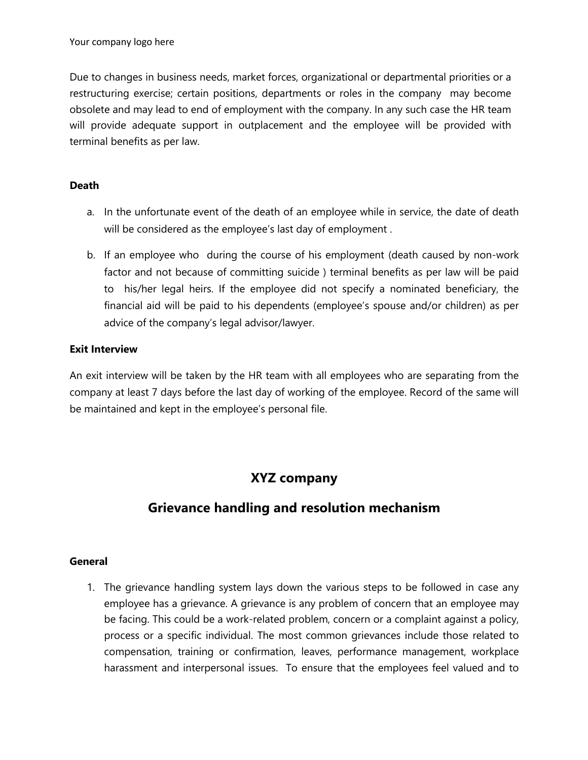Due to changes in business needs, market forces, organizational or departmental priorities or a restructuring exercise; certain positions, departments or roles in the company may become obsolete and may lead to end of employment with the company. In any such case the HR team will provide adequate support in outplacement and the employee will be provided with terminal benefits as per law.

### **Death**

- a. In the unfortunate event of the death of an employee while in service, the date of death will be considered as the employee's last day of employment .
- b. If an employee who during the course of his employment (death caused by non-work factor and not because of committing suicide ) terminal benefits as per law will be paid to his/her legal heirs. If the employee did not specify a nominated beneficiary, the financial aid will be paid to his dependents (employee's spouse and/or children) as per advice of the company's legal advisor/lawyer.

### **Exit Interview**

An exit interview will be taken by the HR team with all employees who are separating from the company at least 7 days before the last day of working of the employee. Record of the same will be maintained and kept in the employee's personal file.

# **XYZ company**

# **Grievance handling and resolution mechanism**

### **General**

1. The grievance handling system lays down the various steps to be followed in case any employee has a grievance. A grievance is any problem of concern that an employee may be facing. This could be a work-related problem, concern or a complaint against a policy, process or a specific individual. The most common grievances include those related to compensation, training or confirmation, leaves, performance management, workplace harassment and interpersonal issues. To ensure that the employees feel valued and to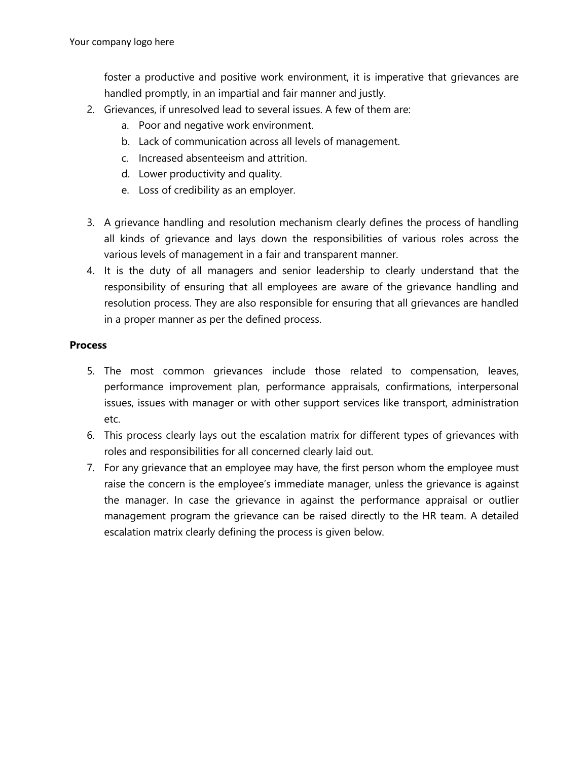foster a productive and positive work environment, it is imperative that grievances are handled promptly, in an impartial and fair manner and justly.

- 2. Grievances, if unresolved lead to several issues. A few of them are:
	- a. Poor and negative work environment.
	- b. Lack of communication across all levels of management.
	- c. Increased absenteeism and attrition.
	- d. Lower productivity and quality.
	- e. Loss of credibility as an employer.
- 3. A grievance handling and resolution mechanism clearly defines the process of handling all kinds of grievance and lays down the responsibilities of various roles across the various levels of management in a fair and transparent manner.
- 4. It is the duty of all managers and senior leadership to clearly understand that the responsibility of ensuring that all employees are aware of the grievance handling and resolution process. They are also responsible for ensuring that all grievances are handled in a proper manner as per the defined process.

#### **Process**

- 5. The most common grievances include those related to compensation, leaves, performance improvement plan, performance appraisals, confirmations, interpersonal issues, issues with manager or with other support services like transport, administration etc.
- 6. This process clearly lays out the escalation matrix for different types of grievances with roles and responsibilities for all concerned clearly laid out.
- 7. For any grievance that an employee may have, the first person whom the employee must raise the concern is the employee's immediate manager, unless the grievance is against the manager. In case the grievance in against the performance appraisal or outlier management program the grievance can be raised directly to the HR team. A detailed escalation matrix clearly defining the process is given below.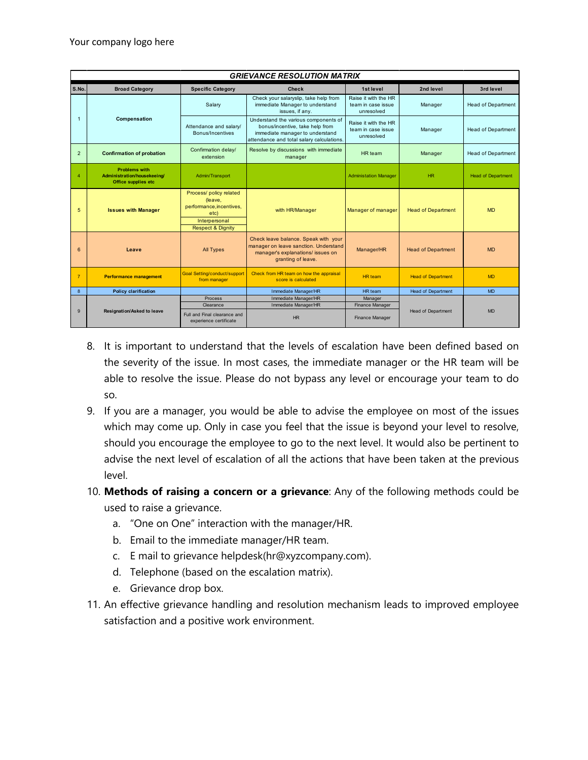|                | <b>GRIEVANCE RESOLUTION MATRIX</b>                                         |                                                                        |                                                                                                                                                         |                                                          |                           |                           |  |
|----------------|----------------------------------------------------------------------------|------------------------------------------------------------------------|---------------------------------------------------------------------------------------------------------------------------------------------------------|----------------------------------------------------------|---------------------------|---------------------------|--|
| S.No.          | <b>Specific Category</b><br><b>Broad Category</b><br><b>Check</b>          |                                                                        |                                                                                                                                                         | 1st level                                                | 2nd level                 | 3rd level                 |  |
|                | Compensation                                                               | Salary                                                                 | Check your salaryslip, take help from<br>immediate Manager to understand<br>issues, if any.                                                             | Raise it with the HR<br>team in case issue<br>unresolved | Manager                   | <b>Head of Department</b> |  |
| $\mathbf{1}$   |                                                                            | Attendance and salary/<br>Bonus/Incentives                             | Understand the various components of<br>bonus/incentive, take help from<br>immediate manager to understand<br>attendance and total salary calculations. | Raise it with the HR<br>team in case issue<br>unresolved | Manager                   | <b>Head of Department</b> |  |
| $\overline{2}$ | <b>Confirmation of probation</b>                                           | Confirmation delay/<br>extension                                       | Resolve by discussions with immediate<br>manager                                                                                                        | HR team                                                  | Manager                   | <b>Head of Department</b> |  |
| $\overline{4}$ | <b>Problems with</b><br>Administration/housekeeing/<br>Office supplies etc | Admin/Transport                                                        |                                                                                                                                                         | <b>Administation Manager</b>                             | HR                        | <b>Head of Department</b> |  |
| 5              | <b>Issues with Manager</b>                                                 | Process/ policy related<br>(leave,<br>performance, incentives,<br>etc) | with HR/Manager                                                                                                                                         | Manager of manager                                       | <b>Head of Department</b> | <b>MD</b>                 |  |
|                |                                                                            | Interpersonal<br><b>Respect &amp; Dignity</b>                          |                                                                                                                                                         |                                                          |                           |                           |  |
| 6              | Leave                                                                      | <b>All Types</b>                                                       | Check leave balance. Speak with your<br>manager on leave sanction. Understand<br>manager's explanations/ issues on<br>granting of leave.                | Manager/HR                                               | <b>Head of Department</b> | <b>MD</b>                 |  |
| $\overline{7}$ | <b>Performance management</b>                                              | <b>Goal Setting/conduct/support</b><br>from manager                    | Check from HR team on how the appraisal<br>score is calculated                                                                                          | HR team                                                  | <b>Head of Department</b> | <b>MD</b>                 |  |
| 8              | <b>Policy clarification</b>                                                |                                                                        | Immediate Manager/HR                                                                                                                                    | HR team                                                  | <b>Head of Department</b> | <b>MD</b>                 |  |
|                |                                                                            | Process                                                                | Immediate Manager/HR                                                                                                                                    | Manager                                                  |                           |                           |  |
|                |                                                                            | Clearance                                                              | Immediate Manager/HR                                                                                                                                    | Finance Manager                                          |                           |                           |  |
| 9              | <b>Resignation/Asked to leave</b>                                          | Full and Final clearance and<br>experience certificate                 | HR                                                                                                                                                      | Finance Manager                                          | <b>Head of Department</b> | <b>MD</b>                 |  |

- 8. It is important to understand that the levels of escalation have been defined based on the severity of the issue. In most cases, the immediate manager or the HR team will be able to resolve the issue. Please do not bypass any level or encourage your team to do so.
- 9. If you are a manager, you would be able to advise the employee on most of the issues which may come up. Only in case you feel that the issue is beyond your level to resolve, should you encourage the employee to go to the next level. It would also be pertinent to advise the next level of escalation of all the actions that have been taken at the previous level.
- 10. **Methods of raising a concern or a grievance**: Any of the following methods could be used to raise a grievance.
	- a. "One on One" interaction with the manager/HR.
	- b. Email to the immediate manager/HR team.
	- c. E mail to grievance helpdesk(hr@xyzcompany.com).
	- d. Telephone (based on the escalation matrix).
	- e. Grievance drop box.
- 11. An effective grievance handling and resolution mechanism leads to improved employee satisfaction and a positive work environment.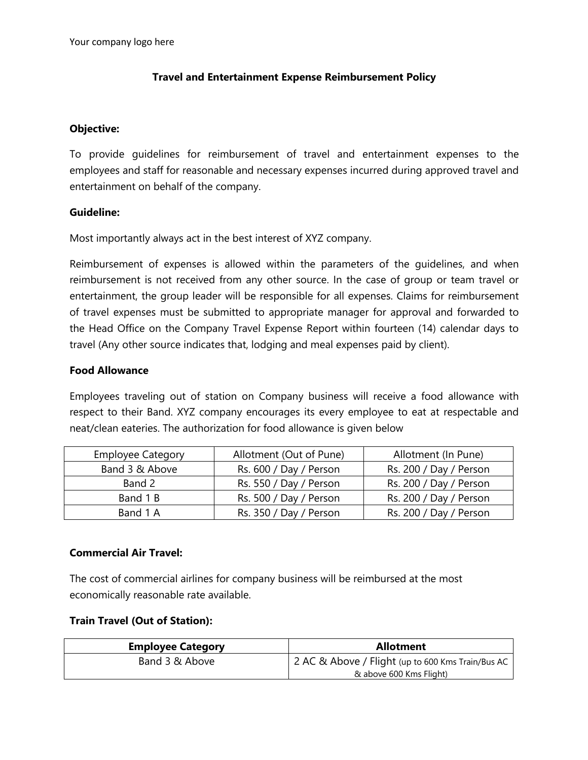#### **Travel and Entertainment Expense Reimbursement Policy**

#### **Objective:**

To provide guidelines for reimbursement of travel and entertainment expenses to the employees and staff for reasonable and necessary expenses incurred during approved travel and entertainment on behalf of the company.

#### **Guideline:**

Most importantly always act in the best interest of XYZ company.

Reimbursement of expenses is allowed within the parameters of the guidelines, and when reimbursement is not received from any other source. In the case of group or team travel or entertainment, the group leader will be responsible for all expenses. Claims for reimbursement of travel expenses must be submitted to appropriate manager for approval and forwarded to the Head Office on the Company Travel Expense Report within fourteen (14) calendar days to travel (Any other source indicates that, lodging and meal expenses paid by client).

#### **Food Allowance**

Employees traveling out of station on Company business will receive a food allowance with respect to their Band. XYZ company encourages its every employee to eat at respectable and neat/clean eateries. The authorization for food allowance is given below

| <b>Employee Category</b> | Allotment (Out of Pune) | Allotment (In Pune)    |  |
|--------------------------|-------------------------|------------------------|--|
| Band 3 & Above           | Rs. 600 / Day / Person  | Rs. 200 / Day / Person |  |
| Band 2                   | Rs. 550 / Day / Person  | Rs. 200 / Day / Person |  |
| Band 1 B                 | Rs. 500 / Day / Person  | Rs. 200 / Day / Person |  |
| Band 1 A                 | Rs. 350 / Day / Person  | Rs. 200 / Day / Person |  |

#### **Commercial Air Travel:**

The cost of commercial airlines for company business will be reimbursed at the most economically reasonable rate available.

#### **Train Travel (Out of Station):**

| <b>Employee Category</b> | <b>Allotment</b>                                  |  |  |
|--------------------------|---------------------------------------------------|--|--|
| Band 3 & Above           | 2 AC & Above / Flight (up to 600 Kms Train/Bus AC |  |  |
|                          | & above 600 Kms Flight)                           |  |  |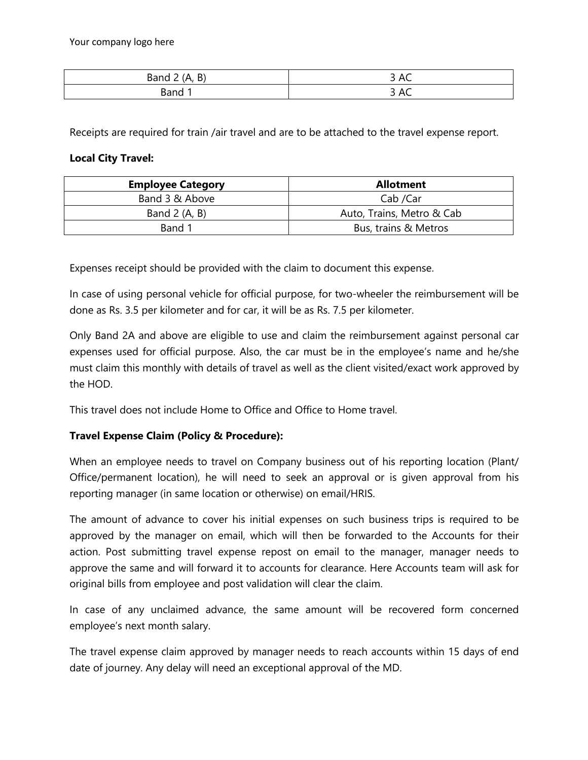| $\mathbf{D}$<br>Band<br>к<br><u>.</u><br>-<br>. . | . .<br>$\overline{\phantom{0}}$<br>∼          |
|---------------------------------------------------|-----------------------------------------------|
| isand.                                            | -<br>$\overline{\phantom{a}}$<br>⌒〜<br>$\sim$ |

Receipts are required for train /air travel and are to be attached to the travel expense report.

#### **Local City Travel:**

| <b>Employee Category</b> | <b>Allotment</b>          |  |
|--------------------------|---------------------------|--|
| Band 3 & Above           | Cab /Car                  |  |
| Band $2(A, B)$           | Auto, Trains, Metro & Cab |  |
| Band 1                   | Bus, trains & Metros      |  |

Expenses receipt should be provided with the claim to document this expense.

In case of using personal vehicle for official purpose, for two-wheeler the reimbursement will be done as Rs. 3.5 per kilometer and for car, it will be as Rs. 7.5 per kilometer.

Only Band 2A and above are eligible to use and claim the reimbursement against personal car expenses used for official purpose. Also, the car must be in the employee's name and he/she must claim this monthly with details of travel as well as the client visited/exact work approved by the HOD.

This travel does not include Home to Office and Office to Home travel.

### **Travel Expense Claim (Policy & Procedure):**

When an employee needs to travel on Company business out of his reporting location (Plant/ Office/permanent location), he will need to seek an approval or is given approval from his reporting manager (in same location or otherwise) on email/HRIS.

The amount of advance to cover his initial expenses on such business trips is required to be approved by the manager on email, which will then be forwarded to the Accounts for their action. Post submitting travel expense repost on email to the manager, manager needs to approve the same and will forward it to accounts for clearance. Here Accounts team will ask for original bills from employee and post validation will clear the claim.

In case of any unclaimed advance, the same amount will be recovered form concerned employee's next month salary.

The travel expense claim approved by manager needs to reach accounts within 15 days of end date of journey. Any delay will need an exceptional approval of the MD.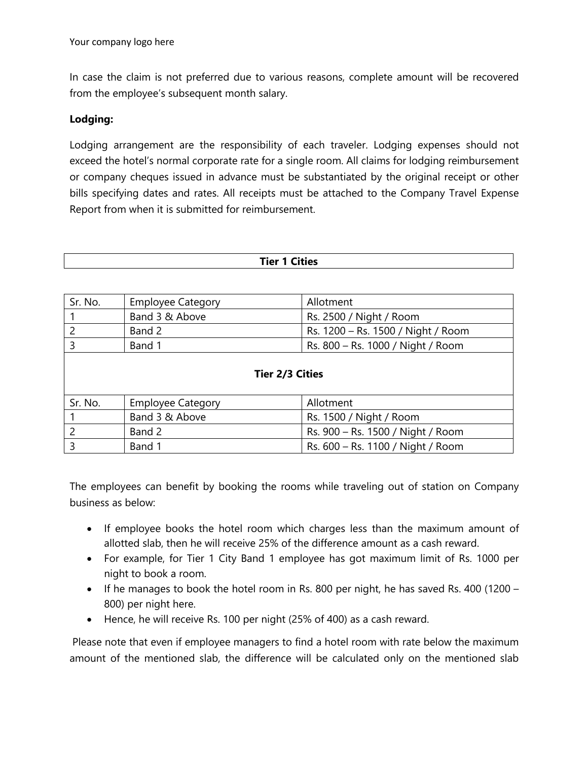In case the claim is not preferred due to various reasons, complete amount will be recovered from the employee's subsequent month salary.

#### **Lodging:**

Lodging arrangement are the responsibility of each traveler. Lodging expenses should not exceed the hotel's normal corporate rate for a single room. All claims for lodging reimbursement or company cheques issued in advance must be substantiated by the original receipt or other bills specifying dates and rates. All receipts must be attached to the Company Travel Expense Report from when it is submitted for reimbursement.

| <b>Tier 1 Cities</b>   |                          |                                    |  |  |  |
|------------------------|--------------------------|------------------------------------|--|--|--|
|                        |                          |                                    |  |  |  |
| Sr. No.                | <b>Employee Category</b> | Allotment                          |  |  |  |
| $\mathbf 1$            | Band 3 & Above           | Rs. 2500 / Night / Room            |  |  |  |
| $\overline{2}$         | Band 2                   | Rs. 1200 - Rs. 1500 / Night / Room |  |  |  |
| $\overline{3}$         | Band 1                   | Rs. 800 - Rs. 1000 / Night / Room  |  |  |  |
| <b>Tier 2/3 Cities</b> |                          |                                    |  |  |  |
| Sr. No.                | <b>Employee Category</b> | Allotment                          |  |  |  |
|                        | Band 3 & Above           | Rs. 1500 / Night / Room            |  |  |  |
| $\overline{2}$         | Band 2                   | Rs. 900 - Rs. 1500 / Night / Room  |  |  |  |
| $\overline{3}$         | Band 1                   | Rs. 600 - Rs. 1100 / Night / Room  |  |  |  |

The employees can benefit by booking the rooms while traveling out of station on Company business as below:

- If employee books the hotel room which charges less than the maximum amount of allotted slab, then he will receive 25% of the difference amount as a cash reward.
- For example, for Tier 1 City Band 1 employee has got maximum limit of Rs. 1000 per night to book a room.
- If he manages to book the hotel room in Rs. 800 per night, he has saved Rs. 400 (1200 800) per night here.
- Hence, he will receive Rs. 100 per night (25% of 400) as a cash reward.

Please note that even if employee managers to find a hotel room with rate below the maximum amount of the mentioned slab, the difference will be calculated only on the mentioned slab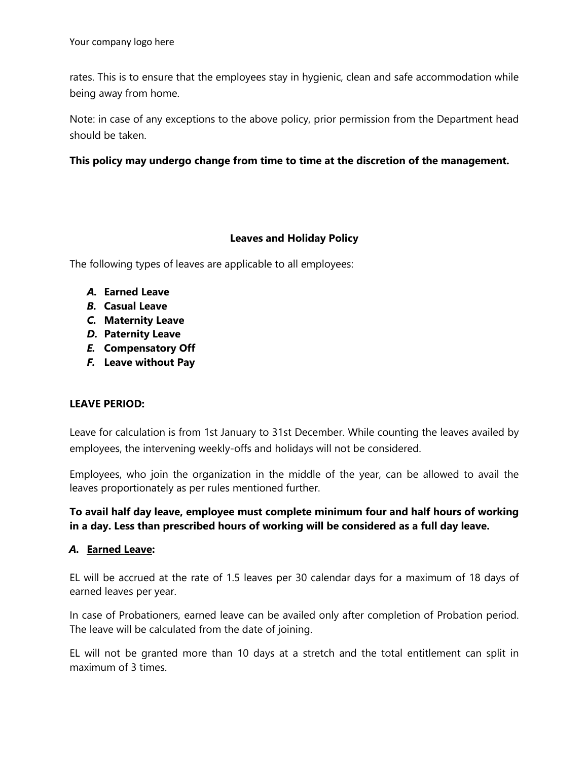rates. This is to ensure that the employees stay in hygienic, clean and safe accommodation while being away from home.

Note: in case of any exceptions to the above policy, prior permission from the Department head should be taken.

#### **This policy may undergo change from time to time at the discretion of the management.**

#### **Leaves and Holiday Policy**

The following types of leaves are applicable to all employees:

- *A.* **Earned Leave**
- *B.* **Casual Leave**
- *C.* **Maternity Leave**
- *D.* **Paternity Leave**
- *E.* **Compensatory Off**
- *F.* **Leave without Pay**

#### **LEAVE PERIOD:**

Leave for calculation is from 1st January to 31st December. While counting the leaves availed by employees, the intervening weekly-offs and holidays will not be considered.

Employees, who join the organization in the middle of the year, can be allowed to avail the leaves proportionately as per rules mentioned further.

### **To avail half day leave, employee must complete minimum four and half hours of working in a day. Less than prescribed hours of working will be considered as a full day leave.**

#### *A.* **Earned Leave:**

EL will be accrued at the rate of 1.5 leaves per 30 calendar days for a maximum of 18 days of earned leaves per year.

In case of Probationers, earned leave can be availed only after completion of Probation period. The leave will be calculated from the date of joining.

EL will not be granted more than 10 days at a stretch and the total entitlement can split in maximum of 3 times.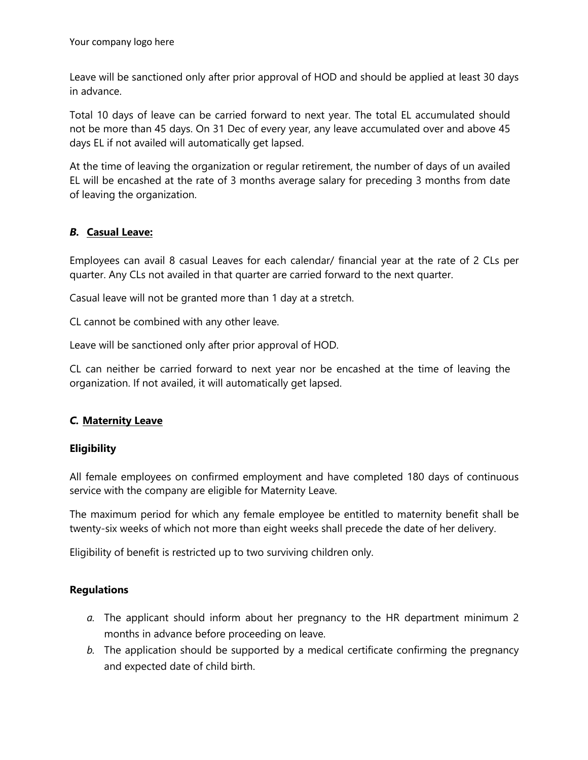Leave will be sanctioned only after prior approval of HOD and should be applied at least 30 days in advance.

Total 10 days of leave can be carried forward to next year. The total EL accumulated should not be more than 45 days. On 31 Dec of every year, any leave accumulated over and above 45 days EL if not availed will automatically get lapsed.

At the time of leaving the organization or regular retirement, the number of days of un availed EL will be encashed at the rate of 3 months average salary for preceding 3 months from date of leaving the organization.

### *B.* **Casual Leave:**

Employees can avail 8 casual Leaves for each calendar/ financial year at the rate of 2 CLs per quarter. Any CLs not availed in that quarter are carried forward to the next quarter.

Casual leave will not be granted more than 1 day at a stretch.

CL cannot be combined with any other leave.

Leave will be sanctioned only after prior approval of HOD.

CL can neither be carried forward to next year nor be encashed at the time of leaving the organization. If not availed, it will automatically get lapsed.

### *C.* **Maternity Leave**

### **Eligibility**

All female employees on confirmed employment and have completed 180 days of continuous service with the company are eligible for Maternity Leave.

The maximum period for which any female employee be entitled to maternity benefit shall be twenty-six weeks of which not more than eight weeks shall precede the date of her delivery.

Eligibility of benefit is restricted up to two surviving children only.

#### **Regulations**

- *a.* The applicant should inform about her pregnancy to the HR department minimum 2 months in advance before proceeding on leave.
- *b.* The application should be supported by a medical certificate confirming the pregnancy and expected date of child birth.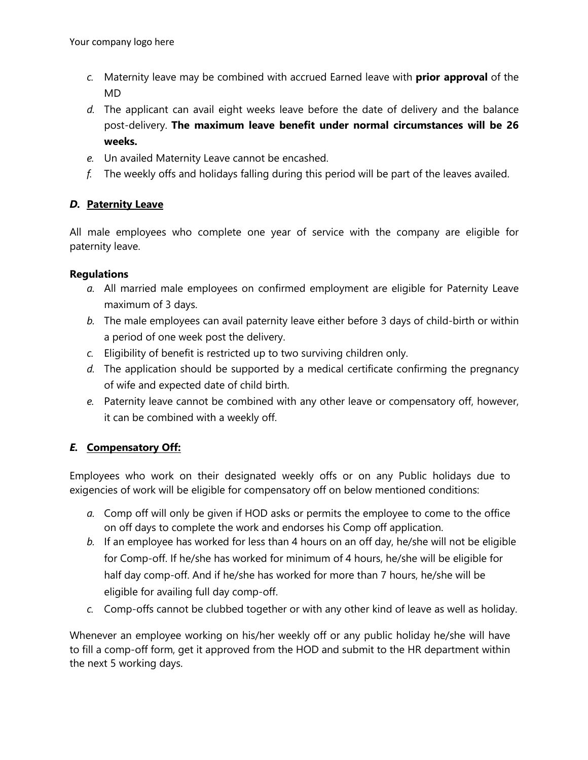- *c.* Maternity leave may be combined with accrued Earned leave with **prior approval** of the MD
- *d.* The applicant can avail eight weeks leave before the date of delivery and the balance post-delivery. **The maximum leave benefit under normal circumstances will be 26 weeks.**
- *e.* Un availed Maternity Leave cannot be encashed.
- *f.* The weekly offs and holidays falling during this period will be part of the leaves availed.

### *D.* **Paternity Leave**

All male employees who complete one year of service with the company are eligible for paternity leave.

#### **Regulations**

- *a.* All married male employees on confirmed employment are eligible for Paternity Leave maximum of 3 days.
- *b.* The male employees can avail paternity leave either before 3 days of child-birth or within a period of one week post the delivery.
- *c.* Eligibility of benefit is restricted up to two surviving children only.
- *d.* The application should be supported by a medical certificate confirming the pregnancy of wife and expected date of child birth.
- *e.* Paternity leave cannot be combined with any other leave or compensatory off, however, it can be combined with a weekly off.

## *E.* **Compensatory Off:**

Employees who work on their designated weekly offs or on any Public holidays due to exigencies of work will be eligible for compensatory off on below mentioned conditions:

- *a.* Comp off will only be given if HOD asks or permits the employee to come to the office on off days to complete the work and endorses his Comp off application.
- *b.* If an employee has worked for less than 4 hours on an off day, he/she will not be eligible for Comp-off. If he/she has worked for minimum of 4 hours, he/she will be eligible for half day comp-off. And if he/she has worked for more than 7 hours, he/she will be eligible for availing full day comp-off.
- *c.* Comp-offs cannot be clubbed together or with any other kind of leave as well as holiday.

Whenever an employee working on his/her weekly off or any public holiday he/she will have to fill a comp-off form, get it approved from the HOD and submit to the HR department within the next 5 working days.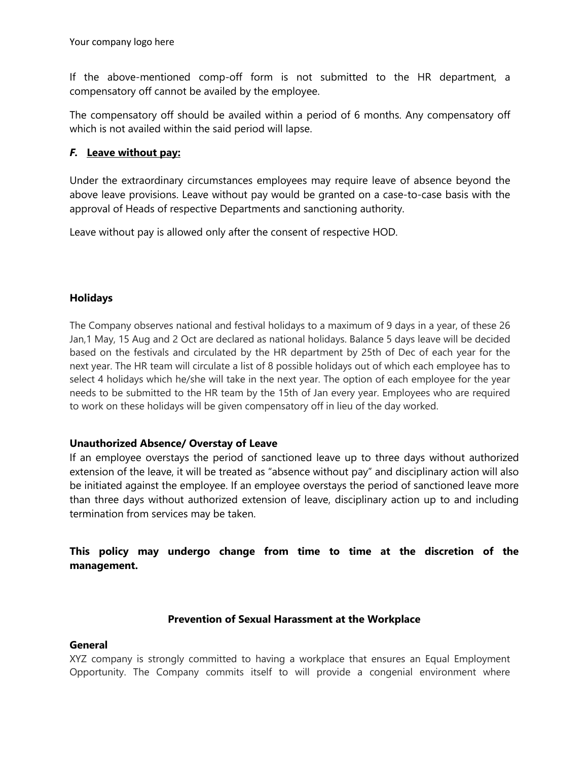If the above-mentioned comp-off form is not submitted to the HR department, a compensatory off cannot be availed by the employee.

The compensatory off should be availed within a period of 6 months. Any compensatory off which is not availed within the said period will lapse.

### *F.* **Leave without pay:**

Under the extraordinary circumstances employees may require leave of absence beyond the above leave provisions. Leave without pay would be granted on a case-to-case basis with the approval of Heads of respective Departments and sanctioning authority.

Leave without pay is allowed only after the consent of respective HOD.

### **Holidays**

The Company observes national and festival holidays to a maximum of 9 days in a year, of these 26 Jan,1 May, 15 Aug and 2 Oct are declared as national holidays. Balance 5 days leave will be decided based on the festivals and circulated by the HR department by 25th of Dec of each year for the next year. The HR team will circulate a list of 8 possible holidays out of which each employee has to select 4 holidays which he/she will take in the next year. The option of each employee for the year needs to be submitted to the HR team by the 15th of Jan every year. Employees who are required to work on these holidays will be given compensatory off in lieu of the day worked.

### **Unauthorized Absence/ Overstay of Leave**

If an employee overstays the period of sanctioned leave up to three days without authorized extension of the leave, it will be treated as "absence without pay" and disciplinary action will also be initiated against the employee. If an employee overstays the period of sanctioned leave more than three days without authorized extension of leave, disciplinary action up to and including termination from services may be taken.

**This policy may undergo change from time to time at the discretion of the management.**

### **Prevention of Sexual Harassment at the Workplace**

#### **General**

XYZ company is strongly committed to having a workplace that ensures an Equal Employment Opportunity. The Company commits itself to will provide a congenial environment where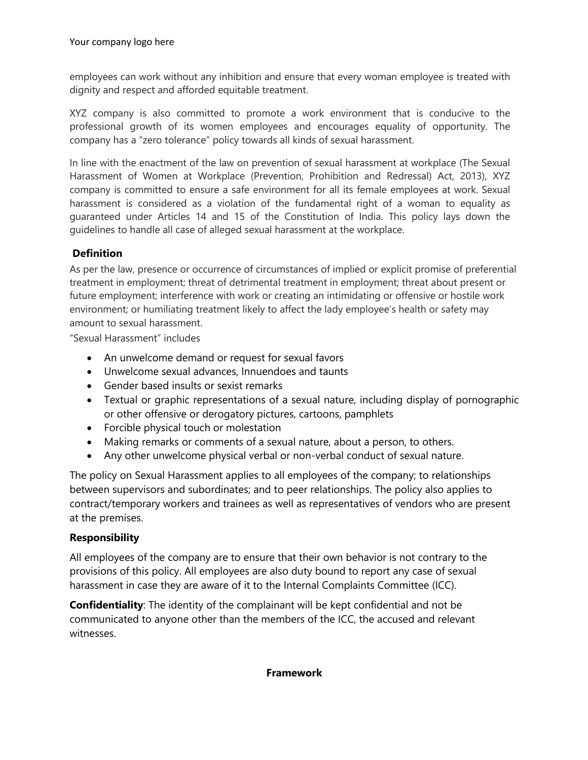employees can work without any inhibition and ensure that every woman employee is treated with dignity and respect and afforded equitable treatment.

XYZ company is also committed to promote a work environment that is conducive to the professional growth of its women employees and encourages equality of opportunity. The company has a "zero tolerance" policy towards all kinds of sexual harassment.

In line with the enactment of the law on prevention of sexual harassment at workplace (The Sexual Harassment of Women at Workplace (Prevention, Prohibition and Redressal) Act, 2013), XYZ company is committed to ensure a safe environment for all its female employees at work. Sexual harassment is considered as a violation of the fundamental right of a woman to equality as guaranteed under Articles 14 and 15 of the Constitution of India. This policy lays down the guidelines to handle all case of alleged sexual harassment at the workplace.

### **Definition**

As per the law, presence or occurrence of circumstances of implied or explicit promise of preferential treatment in employment; threat of detrimental treatment in employment; threat about present or future employment; interference with work or creating an intimidating or offensive or hostile work environment; or humiliating treatment likely to affect the lady employee's health or safety may amount to sexual harassment.

"Sexual Harassment" includes

- An unwelcome demand or request for sexual favors
- Unwelcome sexual advances, Innuendoes and taunts
- Gender based insults or sexist remarks
- Textual or graphic representations of a sexual nature, including display of pornographic or other offensive or derogatory pictures, cartoons, pamphlets
- Forcible physical touch or molestation
- Making remarks or comments of a sexual nature, about a person, to others.
- Any other unwelcome physical verbal or non-verbal conduct of sexual nature.

The policy on Sexual Harassment applies to all employees of the company; to relationships between supervisors and subordinates; and to peer relationships. The policy also applies to contract/temporary workers and trainees as well as representatives of vendors who are present at the premises.

### **Responsibility**

All employees of the company are to ensure that their own behavior is not contrary to the provisions of this policy. All employees are also duty bound to report any case of sexual harassment in case they are aware of it to the Internal Complaints Committee (ICC).

**Confidentiality**: The identity of the complainant will be kept confidential and not be communicated to anyone other than the members of the ICC, the accused and relevant witnesses.

#### **Framework**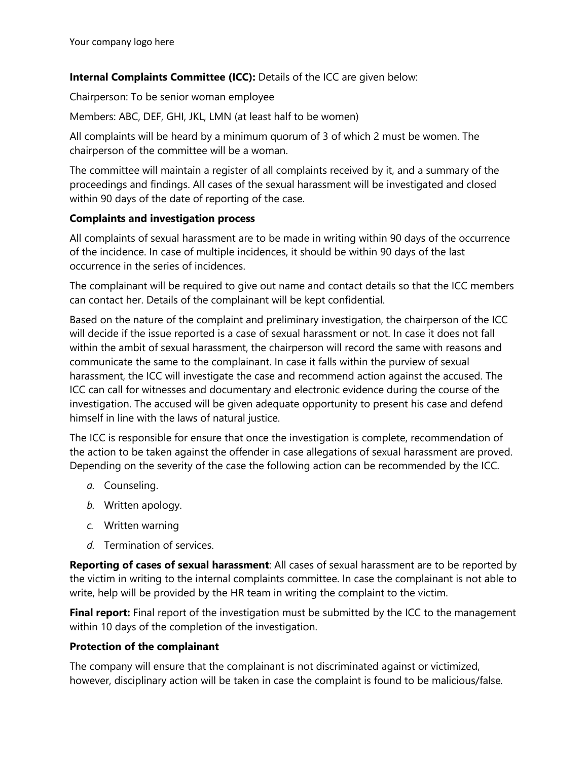### **Internal Complaints Committee (ICC):** Details of the ICC are given below:

Chairperson: To be senior woman employee

Members: ABC, DEF, GHI, JKL, LMN (at least half to be women)

All complaints will be heard by a minimum quorum of 3 of which 2 must be women. The chairperson of the committee will be a woman.

The committee will maintain a register of all complaints received by it, and a summary of the proceedings and findings. All cases of the sexual harassment will be investigated and closed within 90 days of the date of reporting of the case.

### **Complaints and investigation process**

All complaints of sexual harassment are to be made in writing within 90 days of the occurrence of the incidence. In case of multiple incidences, it should be within 90 days of the last occurrence in the series of incidences.

The complainant will be required to give out name and contact details so that the ICC members can contact her. Details of the complainant will be kept confidential.

Based on the nature of the complaint and preliminary investigation, the chairperson of the ICC will decide if the issue reported is a case of sexual harassment or not. In case it does not fall within the ambit of sexual harassment, the chairperson will record the same with reasons and communicate the same to the complainant. In case it falls within the purview of sexual harassment, the ICC will investigate the case and recommend action against the accused. The ICC can call for witnesses and documentary and electronic evidence during the course of the investigation. The accused will be given adequate opportunity to present his case and defend himself in line with the laws of natural justice.

The ICC is responsible for ensure that once the investigation is complete, recommendation of the action to be taken against the offender in case allegations of sexual harassment are proved. Depending on the severity of the case the following action can be recommended by the ICC.

- *a.* Counseling.
- *b.* Written apology.
- *c.* Written warning
- *d.* Termination of services.

**Reporting of cases of sexual harassment**: All cases of sexual harassment are to be reported by the victim in writing to the internal complaints committee. In case the complainant is not able to write, help will be provided by the HR team in writing the complaint to the victim.

**Final report:** Final report of the investigation must be submitted by the ICC to the management within 10 days of the completion of the investigation.

### **Protection of the complainant**

The company will ensure that the complainant is not discriminated against or victimized, however, disciplinary action will be taken in case the complaint is found to be malicious/false*.*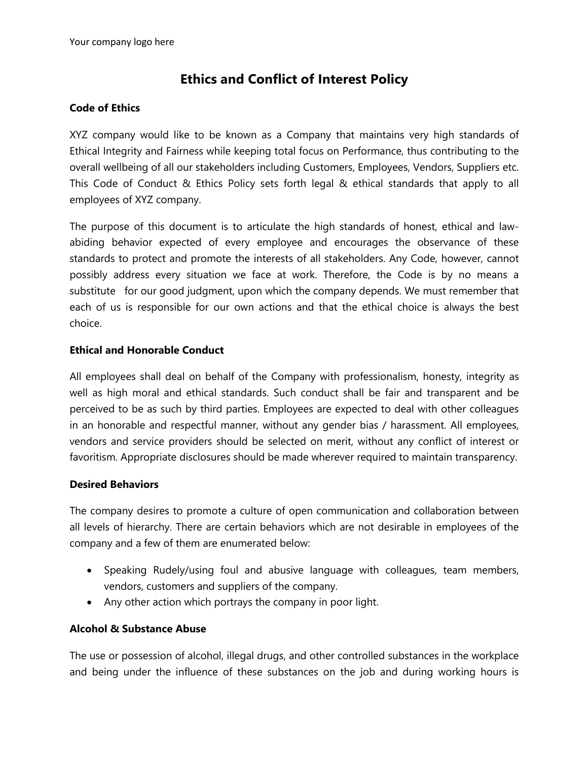# **Ethics and Conflict of Interest Policy**

#### **Code of Ethics**

XYZ company would like to be known as a Company that maintains very high standards of Ethical Integrity and Fairness while keeping total focus on Performance, thus contributing to the overall wellbeing of all our stakeholders including Customers, Employees, Vendors, Suppliers etc. This Code of Conduct & Ethics Policy sets forth legal & ethical standards that apply to all employees of XYZ company.

The purpose of this document is to articulate the high standards of honest, ethical and lawabiding behavior expected of every employee and encourages the observance of these standards to protect and promote the interests of all stakeholders. Any Code, however, cannot possibly address every situation we face at work. Therefore, the Code is by no means a substitute for our good judgment, upon which the company depends. We must remember that each of us is responsible for our own actions and that the ethical choice is always the best choice.

#### **Ethical and Honorable Conduct**

All employees shall deal on behalf of the Company with professionalism, honesty, integrity as well as high moral and ethical standards. Such conduct shall be fair and transparent and be perceived to be as such by third parties. Employees are expected to deal with other colleagues in an honorable and respectful manner, without any gender bias / harassment. All employees, vendors and service providers should be selected on merit, without any conflict of interest or favoritism. Appropriate disclosures should be made wherever required to maintain transparency.

#### **Desired Behaviors**

The company desires to promote a culture of open communication and collaboration between all levels of hierarchy. There are certain behaviors which are not desirable in employees of the company and a few of them are enumerated below:

- Speaking Rudely/using foul and abusive language with colleagues, team members, vendors, customers and suppliers of the company.
- Any other action which portrays the company in poor light.

#### **Alcohol & Substance Abuse**

The use or possession of alcohol, illegal drugs, and other controlled substances in the workplace and being under the influence of these substances on the job and during working hours is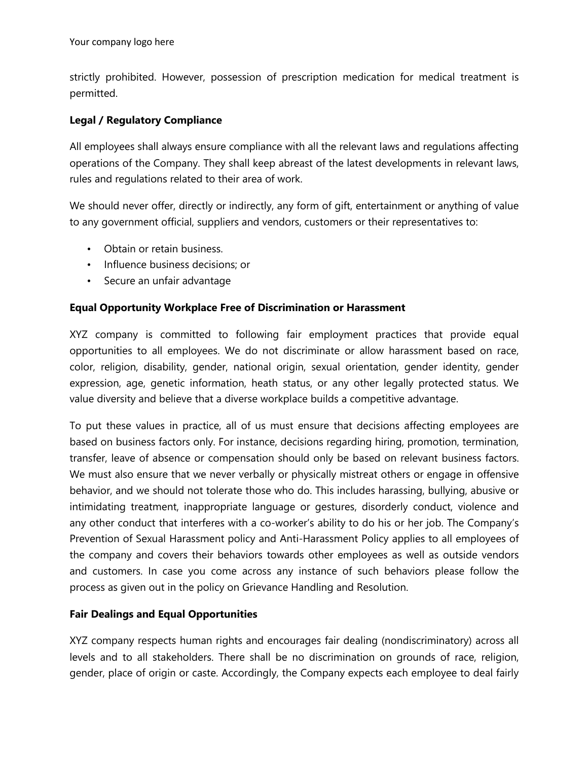strictly prohibited. However, possession of prescription medication for medical treatment is permitted.

### **Legal / Regulatory Compliance**

All employees shall always ensure compliance with all the relevant laws and regulations affecting operations of the Company. They shall keep abreast of the latest developments in relevant laws, rules and regulations related to their area of work.

We should never offer, directly or indirectly, any form of gift, entertainment or anything of value to any government official, suppliers and vendors, customers or their representatives to:

- Obtain or retain business.
- Influence business decisions; or
- Secure an unfair advantage

### **Equal Opportunity Workplace Free of Discrimination or Harassment**

XYZ company is committed to following fair employment practices that provide equal opportunities to all employees. We do not discriminate or allow harassment based on race, color, religion, disability, gender, national origin, sexual orientation, gender identity, gender expression, age, genetic information, heath status, or any other legally protected status. We value diversity and believe that a diverse workplace builds a competitive advantage.

To put these values in practice, all of us must ensure that decisions affecting employees are based on business factors only. For instance, decisions regarding hiring, promotion, termination, transfer, leave of absence or compensation should only be based on relevant business factors. We must also ensure that we never verbally or physically mistreat others or engage in offensive behavior, and we should not tolerate those who do. This includes harassing, bullying, abusive or intimidating treatment, inappropriate language or gestures, disorderly conduct, violence and any other conduct that interferes with a co-worker's ability to do his or her job. The Company's Prevention of Sexual Harassment policy and Anti-Harassment Policy applies to all employees of the company and covers their behaviors towards other employees as well as outside vendors and customers. In case you come across any instance of such behaviors please follow the process as given out in the policy on Grievance Handling and Resolution.

### **Fair Dealings and Equal Opportunities**

XYZ company respects human rights and encourages fair dealing (nondiscriminatory) across all levels and to all stakeholders. There shall be no discrimination on grounds of race, religion, gender, place of origin or caste. Accordingly, the Company expects each employee to deal fairly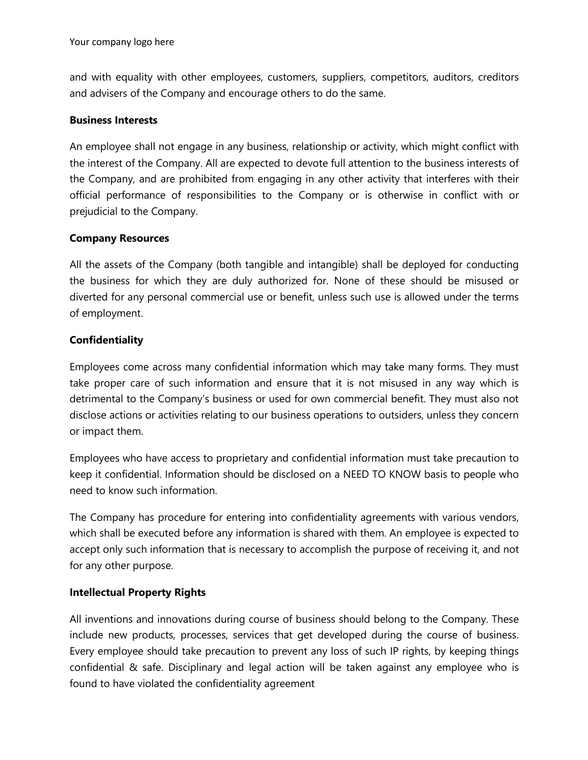and with equality with other employees, customers, suppliers, competitors, auditors, creditors and advisers of the Company and encourage others to do the same.

#### **Business Interests**

An employee shall not engage in any business, relationship or activity, which might conflict with the interest of the Company. All are expected to devote full attention to the business interests of the Company, and are prohibited from engaging in any other activity that interferes with their official performance of responsibilities to the Company or is otherwise in conflict with or prejudicial to the Company.

### **Company Resources**

All the assets of the Company (both tangible and intangible) shall be deployed for conducting the business for which they are duly authorized for. None of these should be misused or diverted for any personal commercial use or benefit, unless such use is allowed under the terms of employment.

### **Confidentiality**

Employees come across many confidential information which may take many forms. They must take proper care of such information and ensure that it is not misused in any way which is detrimental to the Company's business or used for own commercial benefit. They must also not disclose actions or activities relating to our business operations to outsiders, unless they concern or impact them.

Employees who have access to proprietary and confidential information must take precaution to keep it confidential. Information should be disclosed on a NEED TO KNOW basis to people who need to know such information.

The Company has procedure for entering into confidentiality agreements with various vendors, which shall be executed before any information is shared with them. An employee is expected to accept only such information that is necessary to accomplish the purpose of receiving it, and not for any other purpose.

### **Intellectual Property Rights**

All inventions and innovations during course of business should belong to the Company. These include new products, processes, services that get developed during the course of business. Every employee should take precaution to prevent any loss of such IP rights, by keeping things confidential & safe. Disciplinary and legal action will be taken against any employee who is found to have violated the confidentiality agreement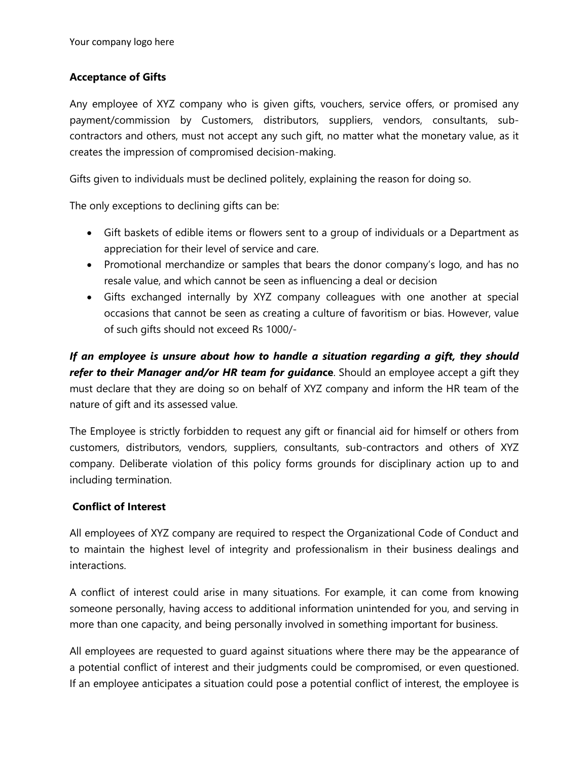## **Acceptance of Gifts**

Any employee of XYZ company who is given gifts, vouchers, service offers, or promised any payment/commission by Customers, distributors, suppliers, vendors, consultants, subcontractors and others, must not accept any such gift, no matter what the monetary value, as it creates the impression of compromised decision-making.

Gifts given to individuals must be declined politely, explaining the reason for doing so.

The only exceptions to declining gifts can be:

- Gift baskets of edible items or flowers sent to a group of individuals or a Department as appreciation for their level of service and care.
- Promotional merchandize or samples that bears the donor company's logo, and has no resale value, and which cannot be seen as influencing a deal or decision
- Gifts exchanged internally by XYZ company colleagues with one another at special occasions that cannot be seen as creating a culture of favoritism or bias. However, value of such gifts should not exceed Rs 1000/-

*If an employee is unsure about how to handle a situation regarding a gift, they should refer to their Manager and/or HR team for guidan***ce**. Should an employee accept a gift they must declare that they are doing so on behalf of XYZ company and inform the HR team of the nature of gift and its assessed value.

The Employee is strictly forbidden to request any gift or financial aid for himself or others from customers, distributors, vendors, suppliers, consultants, sub-contractors and others of XYZ company. Deliberate violation of this policy forms grounds for disciplinary action up to and including termination.

### **Conflict of Interest**

All employees of XYZ company are required to respect the Organizational Code of Conduct and to maintain the highest level of integrity and professionalism in their business dealings and interactions.

A conflict of interest could arise in many situations. For example, it can come from knowing someone personally, having access to additional information unintended for you, and serving in more than one capacity, and being personally involved in something important for business.

All employees are requested to guard against situations where there may be the appearance of a potential conflict of interest and their judgments could be compromised, or even questioned. If an employee anticipates a situation could pose a potential conflict of interest, the employee is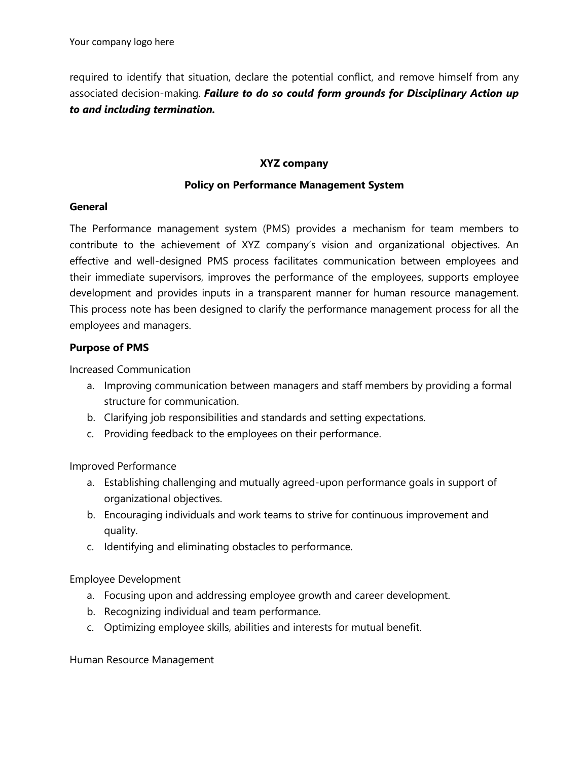required to identify that situation, declare the potential conflict, and remove himself from any associated decision-making. *Failure to do so could form grounds for Disciplinary Action up to and including termination.* 

### **XYZ company**

### **Policy on Performance Management System**

#### **General**

The Performance management system (PMS) provides a mechanism for team members to contribute to the achievement of XYZ company's vision and organizational objectives. An effective and well-designed PMS process facilitates communication between employees and their immediate supervisors, improves the performance of the employees, supports employee development and provides inputs in a transparent manner for human resource management. This process note has been designed to clarify the performance management process for all the employees and managers.

### **Purpose of PMS**

Increased Communication

- a. Improving communication between managers and staff members by providing a formal structure for communication.
- b. Clarifying job responsibilities and standards and setting expectations.
- c. Providing feedback to the employees on their performance.

Improved Performance

- a. Establishing challenging and mutually agreed-upon performance goals in support of organizational objectives.
- b. Encouraging individuals and work teams to strive for continuous improvement and quality.
- c. Identifying and eliminating obstacles to performance.

Employee Development

- a. Focusing upon and addressing employee growth and career development.
- b. Recognizing individual and team performance.
- c. Optimizing employee skills, abilities and interests for mutual benefit.

Human Resource Management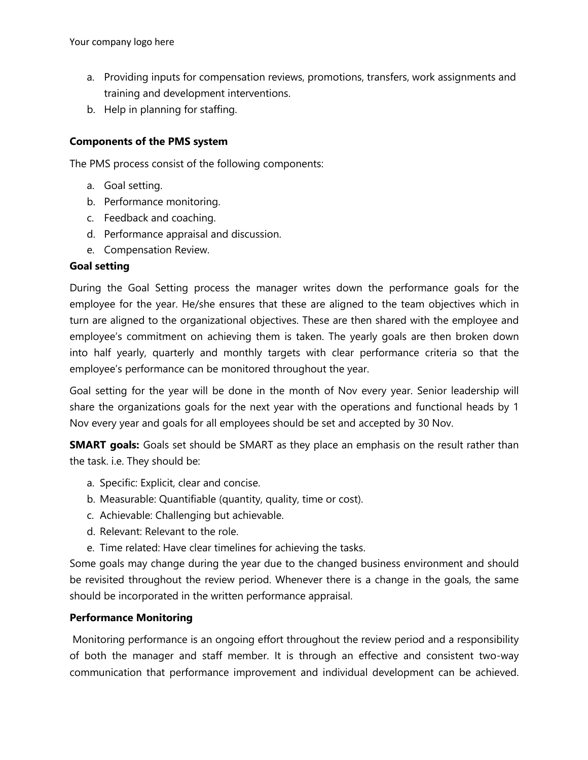- a. Providing inputs for compensation reviews, promotions, transfers, work assignments and training and development interventions.
- b. Help in planning for staffing.

### **Components of the PMS system**

The PMS process consist of the following components:

- a. Goal setting.
- b. Performance monitoring.
- c. Feedback and coaching.
- d. Performance appraisal and discussion.
- e. Compensation Review.

### **Goal setting**

During the Goal Setting process the manager writes down the performance goals for the employee for the year. He/she ensures that these are aligned to the team objectives which in turn are aligned to the organizational objectives. These are then shared with the employee and employee's commitment on achieving them is taken. The yearly goals are then broken down into half yearly, quarterly and monthly targets with clear performance criteria so that the employee's performance can be monitored throughout the year.

Goal setting for the year will be done in the month of Nov every year. Senior leadership will share the organizations goals for the next year with the operations and functional heads by 1 Nov every year and goals for all employees should be set and accepted by 30 Nov.

**SMART goals:** Goals set should be SMART as they place an emphasis on the result rather than the task. i.e. They should be:

- a. Specific: Explicit, clear and concise.
- b. Measurable: Quantifiable (quantity, quality, time or cost).
- c. Achievable: Challenging but achievable.
- d. Relevant: Relevant to the role.
- e. Time related: Have clear timelines for achieving the tasks.

Some goals may change during the year due to the changed business environment and should be revisited throughout the review period. Whenever there is a change in the goals, the same should be incorporated in the written performance appraisal.

### **Performance Monitoring**

Monitoring performance is an ongoing effort throughout the review period and a responsibility of both the manager and staff member. It is through an effective and consistent two-way communication that performance improvement and individual development can be achieved.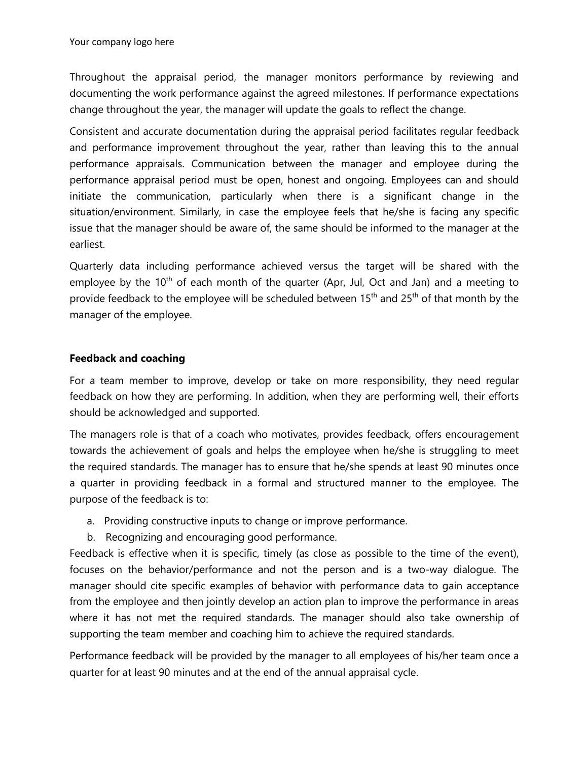Throughout the appraisal period, the manager monitors performance by reviewing and documenting the work performance against the agreed milestones. If performance expectations change throughout the year, the manager will update the goals to reflect the change.

Consistent and accurate documentation during the appraisal period facilitates regular feedback and performance improvement throughout the year, rather than leaving this to the annual performance appraisals. Communication between the manager and employee during the performance appraisal period must be open, honest and ongoing. Employees can and should initiate the communication, particularly when there is a significant change in the situation/environment. Similarly, in case the employee feels that he/she is facing any specific issue that the manager should be aware of, the same should be informed to the manager at the earliest.

Quarterly data including performance achieved versus the target will be shared with the employee by the  $10<sup>th</sup>$  of each month of the quarter (Apr, Jul, Oct and Jan) and a meeting to provide feedback to the employee will be scheduled between  $15<sup>th</sup>$  and  $25<sup>th</sup>$  of that month by the manager of the employee.

### **Feedback and coaching**

For a team member to improve, develop or take on more responsibility, they need regular feedback on how they are performing. In addition, when they are performing well, their efforts should be acknowledged and supported.

The managers role is that of a coach who motivates, provides feedback, offers encouragement towards the achievement of goals and helps the employee when he/she is struggling to meet the required standards. The manager has to ensure that he/she spends at least 90 minutes once a quarter in providing feedback in a formal and structured manner to the employee. The purpose of the feedback is to:

- a. Providing constructive inputs to change or improve performance.
- b. Recognizing and encouraging good performance.

Feedback is effective when it is specific, timely (as close as possible to the time of the event), focuses on the behavior/performance and not the person and is a two-way dialogue. The manager should cite specific examples of behavior with performance data to gain acceptance from the employee and then jointly develop an action plan to improve the performance in areas where it has not met the required standards. The manager should also take ownership of supporting the team member and coaching him to achieve the required standards.

Performance feedback will be provided by the manager to all employees of his/her team once a quarter for at least 90 minutes and at the end of the annual appraisal cycle.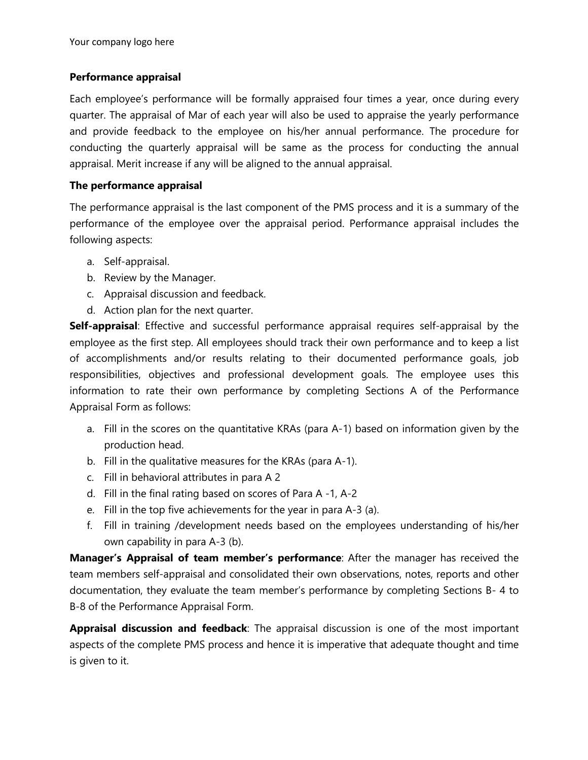### **Performance appraisal**

Each employee's performance will be formally appraised four times a year, once during every quarter. The appraisal of Mar of each year will also be used to appraise the yearly performance and provide feedback to the employee on his/her annual performance. The procedure for conducting the quarterly appraisal will be same as the process for conducting the annual appraisal. Merit increase if any will be aligned to the annual appraisal.

### **The performance appraisal**

The performance appraisal is the last component of the PMS process and it is a summary of the performance of the employee over the appraisal period. Performance appraisal includes the following aspects:

- a. Self-appraisal.
- b. Review by the Manager.
- c. Appraisal discussion and feedback.
- d. Action plan for the next quarter.

**Self-appraisal**: Effective and successful performance appraisal requires self-appraisal by the employee as the first step. All employees should track their own performance and to keep a list of accomplishments and/or results relating to their documented performance goals, job responsibilities, objectives and professional development goals. The employee uses this information to rate their own performance by completing Sections A of the Performance Appraisal Form as follows:

- a. Fill in the scores on the quantitative KRAs (para A-1) based on information given by the production head.
- b. Fill in the qualitative measures for the KRAs (para A-1).
- c. Fill in behavioral attributes in para A 2
- d. Fill in the final rating based on scores of Para A -1, A-2
- e. Fill in the top five achievements for the year in para A-3 (a).
- f. Fill in training /development needs based on the employees understanding of his/her own capability in para A-3 (b).

**Manager's Appraisal of team member's performance**: After the manager has received the team members self-appraisal and consolidated their own observations, notes, reports and other documentation, they evaluate the team member's performance by completing Sections B- 4 to B-8 of the Performance Appraisal Form.

**Appraisal discussion and feedback**: The appraisal discussion is one of the most important aspects of the complete PMS process and hence it is imperative that adequate thought and time is given to it.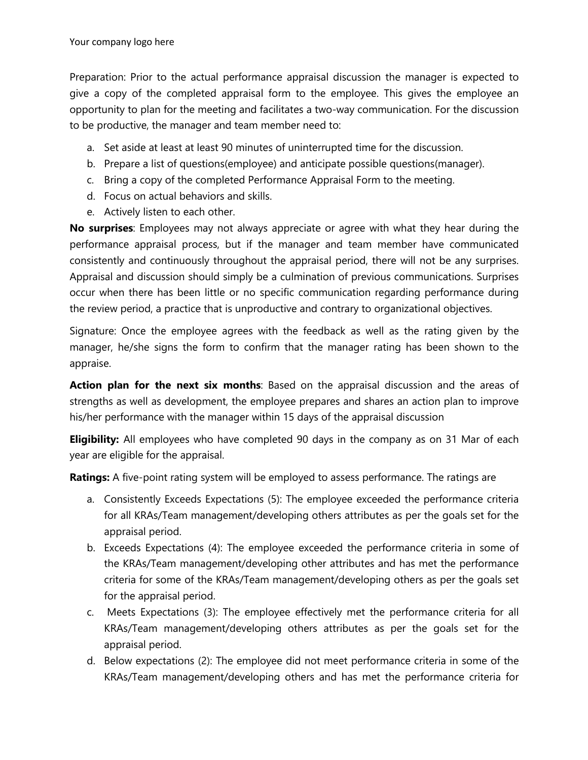Preparation: Prior to the actual performance appraisal discussion the manager is expected to give a copy of the completed appraisal form to the employee. This gives the employee an opportunity to plan for the meeting and facilitates a two-way communication. For the discussion to be productive, the manager and team member need to:

- a. Set aside at least at least 90 minutes of uninterrupted time for the discussion.
- b. Prepare a list of questions(employee) and anticipate possible questions(manager).
- c. Bring a copy of the completed Performance Appraisal Form to the meeting.
- d. Focus on actual behaviors and skills.
- e. Actively listen to each other.

**No surprises**: Employees may not always appreciate or agree with what they hear during the performance appraisal process, but if the manager and team member have communicated consistently and continuously throughout the appraisal period, there will not be any surprises. Appraisal and discussion should simply be a culmination of previous communications. Surprises occur when there has been little or no specific communication regarding performance during the review period, a practice that is unproductive and contrary to organizational objectives.

Signature: Once the employee agrees with the feedback as well as the rating given by the manager, he/she signs the form to confirm that the manager rating has been shown to the appraise.

**Action plan for the next six months**: Based on the appraisal discussion and the areas of strengths as well as development, the employee prepares and shares an action plan to improve his/her performance with the manager within 15 days of the appraisal discussion

**Eligibility:** All employees who have completed 90 days in the company as on 31 Mar of each year are eligible for the appraisal.

**Ratings:** A five-point rating system will be employed to assess performance. The ratings are

- a. Consistently Exceeds Expectations (5): The employee exceeded the performance criteria for all KRAs/Team management/developing others attributes as per the goals set for the appraisal period.
- b. Exceeds Expectations (4): The employee exceeded the performance criteria in some of the KRAs/Team management/developing other attributes and has met the performance criteria for some of the KRAs/Team management/developing others as per the goals set for the appraisal period.
- c. Meets Expectations (3): The employee effectively met the performance criteria for all KRAs/Team management/developing others attributes as per the goals set for the appraisal period.
- d. Below expectations (2): The employee did not meet performance criteria in some of the KRAs/Team management/developing others and has met the performance criteria for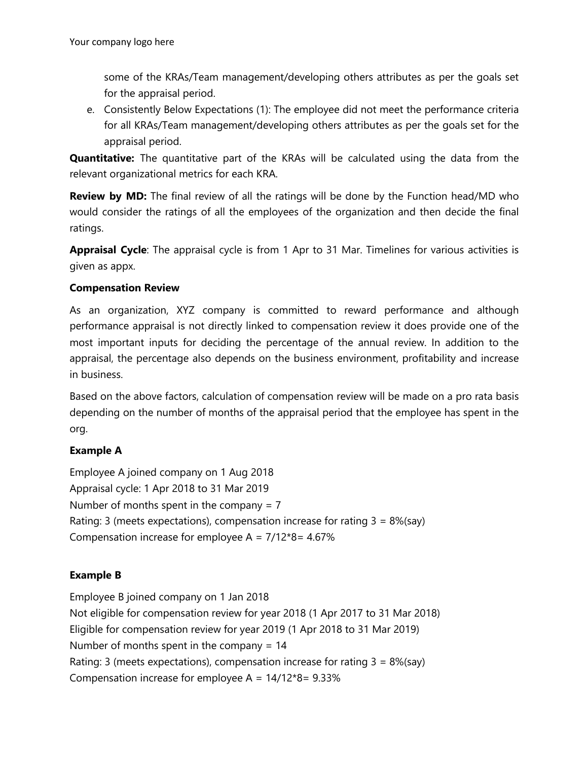some of the KRAs/Team management/developing others attributes as per the goals set for the appraisal period.

e. Consistently Below Expectations (1): The employee did not meet the performance criteria for all KRAs/Team management/developing others attributes as per the goals set for the appraisal period.

**Quantitative:** The quantitative part of the KRAs will be calculated using the data from the relevant organizational metrics for each KRA.

**Review by MD:** The final review of all the ratings will be done by the Function head/MD who would consider the ratings of all the employees of the organization and then decide the final ratings.

**Appraisal Cycle**: The appraisal cycle is from 1 Apr to 31 Mar. Timelines for various activities is given as appx.

### **Compensation Review**

As an organization, XYZ company is committed to reward performance and although performance appraisal is not directly linked to compensation review it does provide one of the most important inputs for deciding the percentage of the annual review. In addition to the appraisal, the percentage also depends on the business environment, profitability and increase in business.

Based on the above factors, calculation of compensation review will be made on a pro rata basis depending on the number of months of the appraisal period that the employee has spent in the org.

## **Example A**

Employee A joined company on 1 Aug 2018 Appraisal cycle: 1 Apr 2018 to 31 Mar 2019 Number of months spent in the company  $= 7$ Rating: 3 (meets expectations), compensation increase for rating  $3 = 8\%$  (say) Compensation increase for employee A =  $7/12*8 = 4.67%$ 

### **Example B**

Employee B joined company on 1 Jan 2018 Not eligible for compensation review for year 2018 (1 Apr 2017 to 31 Mar 2018) Eligible for compensation review for year 2019 (1 Apr 2018 to 31 Mar 2019) Number of months spent in the company = 14 Rating: 3 (meets expectations), compensation increase for rating  $3 = 8\%$  (say) Compensation increase for employee A =  $14/12*8 = 9.33%$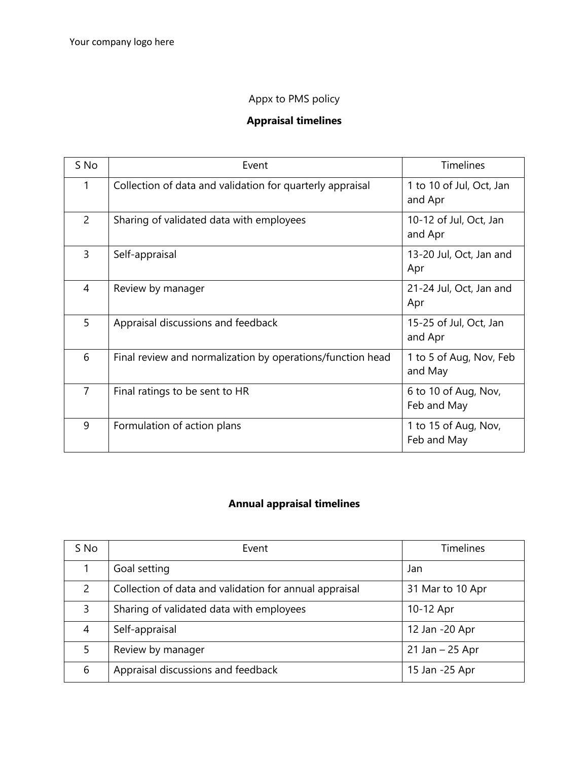# Appx to PMS policy

# **Appraisal timelines**

| S No           | Event                                                      | <b>Timelines</b>                    |
|----------------|------------------------------------------------------------|-------------------------------------|
| 1              | Collection of data and validation for quarterly appraisal  | 1 to 10 of Jul, Oct, Jan<br>and Apr |
| $\overline{2}$ | Sharing of validated data with employees                   | 10-12 of Jul, Oct, Jan<br>and Apr   |
| 3              | Self-appraisal                                             | 13-20 Jul, Oct, Jan and<br>Apr      |
| 4              | Review by manager                                          | 21-24 Jul, Oct, Jan and<br>Apr      |
| 5              | Appraisal discussions and feedback                         | 15-25 of Jul, Oct, Jan<br>and Apr   |
| 6              | Final review and normalization by operations/function head | 1 to 5 of Aug, Nov, Feb<br>and May  |
| $\overline{7}$ | Final ratings to be sent to HR                             | 6 to 10 of Aug, Nov,<br>Feb and May |
| 9              | Formulation of action plans                                | 1 to 15 of Aug, Nov,<br>Feb and May |

# **Annual appraisal timelines**

| S No          | Event                                                  | <b>Timelines</b>   |
|---------------|--------------------------------------------------------|--------------------|
|               | Goal setting                                           | Jan                |
| $\mathcal{P}$ | Collection of data and validation for annual appraisal | 31 Mar to 10 Apr   |
| 3             | Sharing of validated data with employees               | 10-12 Apr          |
| 4             | Self-appraisal                                         | 12 Jan -20 Apr     |
| 5             | Review by manager                                      | $21$ Jan $-25$ Apr |
| 6             | Appraisal discussions and feedback                     | 15 Jan -25 Apr     |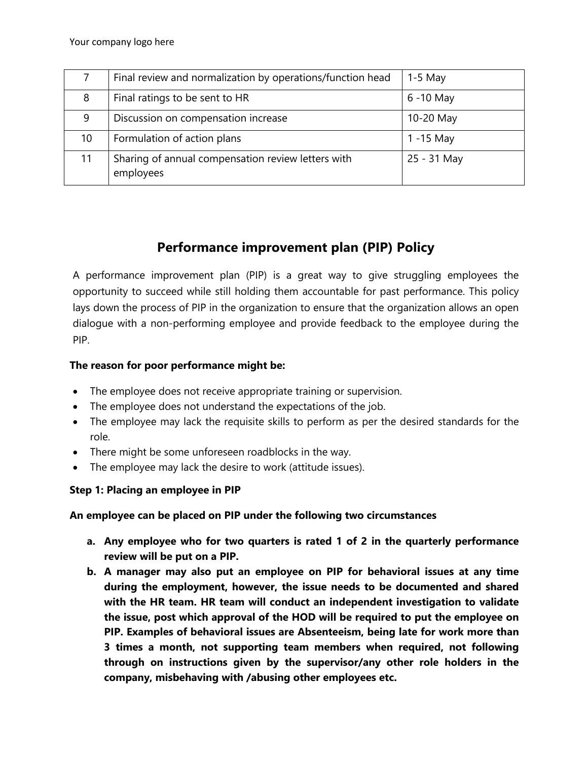|    | Final review and normalization by operations/function head      | $1-5$ May   |
|----|-----------------------------------------------------------------|-------------|
| 8  | Final ratings to be sent to HR                                  | 6 -10 May   |
| 9  | Discussion on compensation increase                             | 10-20 May   |
| 10 | Formulation of action plans                                     | 1 -15 May   |
| 11 | Sharing of annual compensation review letters with<br>employees | 25 - 31 May |

# **Performance improvement plan (PIP) Policy**

A performance improvement plan (PIP) is a great way to give struggling employees the opportunity to succeed while still holding them accountable for past performance. This policy lays down the process of PIP in the organization to ensure that the organization allows an open dialogue with a non-performing employee and provide feedback to the employee during the PIP.

### **The reason for poor performance might be:**

- The employee does not receive appropriate training or supervision.
- The employee does not understand the expectations of the job.
- The employee may lack the requisite skills to perform as per the desired standards for the role.
- There might be some unforeseen roadblocks in the way.
- The employee may lack the desire to work (attitude issues).

## **Step 1: Placing an employee in PIP**

### **An employee can be placed on PIP under the following two circumstances**

- **a. Any employee who for two quarters is rated 1 of 2 in the quarterly performance review will be put on a PIP.**
- **b. A manager may also put an employee on PIP for behavioral issues at any time during the employment, however, the issue needs to be documented and shared with the HR team. HR team will conduct an independent investigation to validate the issue, post which approval of the HOD will be required to put the employee on PIP. Examples of behavioral issues are Absenteeism, being late for work more than 3 times a month, not supporting team members when required, not following through on instructions given by the supervisor/any other role holders in the company, misbehaving with /abusing other employees etc.**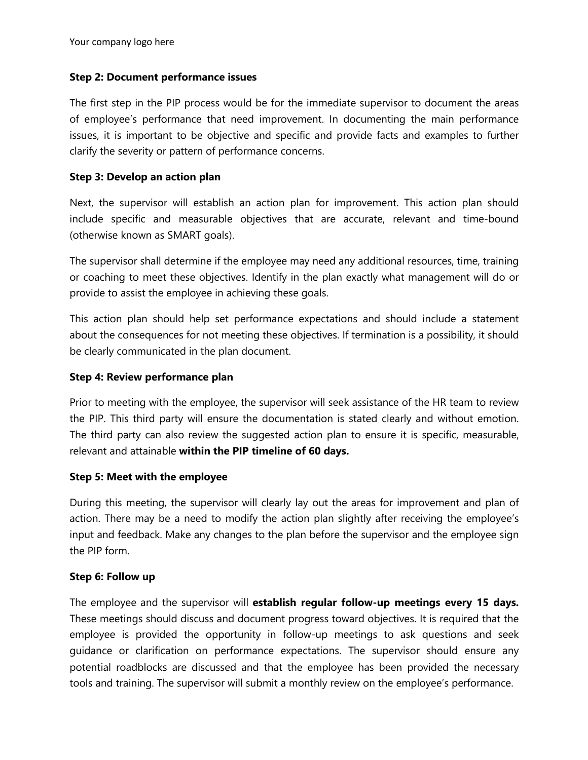#### **Step 2: Document performance issues**

The first step in the PIP process would be for the immediate supervisor to document the areas of employee's performance that need improvement. In documenting the main performance issues, it is important to be objective and specific and provide facts and examples to further clarify the severity or pattern of performance concerns.

#### **Step 3: Develop an action plan**

Next, the supervisor will establish an action plan for improvement. This action plan should include specific and measurable objectives that are accurate, relevant and time-bound (otherwise known as SMART goals).

The supervisor shall determine if the employee may need any additional resources, time, training or coaching to meet these objectives. Identify in the plan exactly what management will do or provide to assist the employee in achieving these goals.

This action plan should help set performance expectations and should include a statement about the consequences for not meeting these objectives. If termination is a possibility, it should be clearly communicated in the plan document.

#### **Step 4: Review performance plan**

Prior to meeting with the employee, the supervisor will seek assistance of the HR team to review the PIP. This third party will ensure the documentation is stated clearly and without emotion. The third party can also review the suggested action plan to ensure it is specific, measurable, relevant and attainable **within the PIP timeline of 60 days.**

#### **Step 5: Meet with the employee**

During this meeting, the supervisor will clearly lay out the areas for improvement and plan of action. There may be a need to modify the action plan slightly after receiving the employee's input and feedback. Make any changes to the plan before the supervisor and the employee sign the PIP form.

#### **Step 6: Follow up**

The employee and the supervisor will **establish regular follow-up meetings every 15 days.**  These meetings should discuss and document progress toward objectives. It is required that the employee is provided the opportunity in follow-up meetings to ask questions and seek guidance or clarification on performance expectations. The supervisor should ensure any potential roadblocks are discussed and that the employee has been provided the necessary tools and training. The supervisor will submit a monthly review on the employee's performance.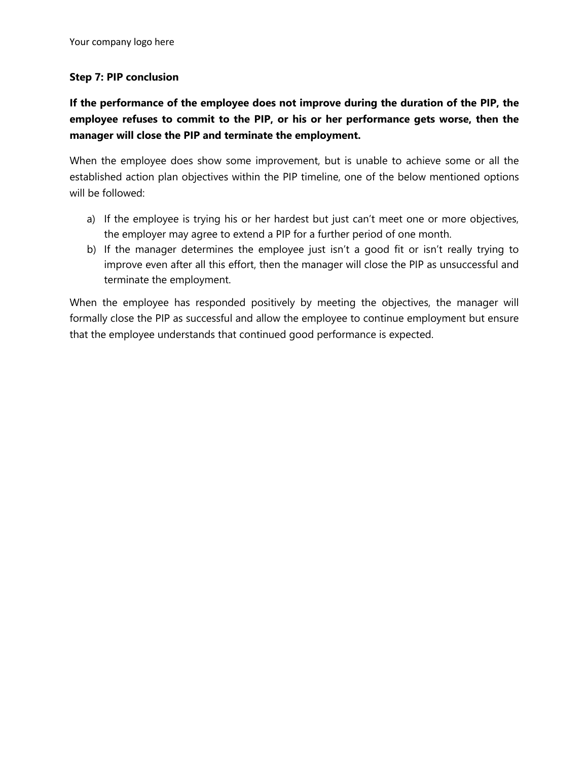#### **Step 7: PIP conclusion**

# **If the performance of the employee does not improve during the duration of the PIP, the employee refuses to commit to the PIP, or his or her performance gets worse, then the manager will close the PIP and terminate the employment.**

When the employee does show some improvement, but is unable to achieve some or all the established action plan objectives within the PIP timeline, one of the below mentioned options will be followed:

- a) If the employee is trying his or her hardest but just can't meet one or more objectives, the employer may agree to extend a PIP for a further period of one month.
- b) If the manager determines the employee just isn't a good fit or isn't really trying to improve even after all this effort, then the manager will close the PIP as unsuccessful and terminate the employment.

When the employee has responded positively by meeting the objectives, the manager will formally close the PIP as successful and allow the employee to continue employment but ensure that the employee understands that continued good performance is expected.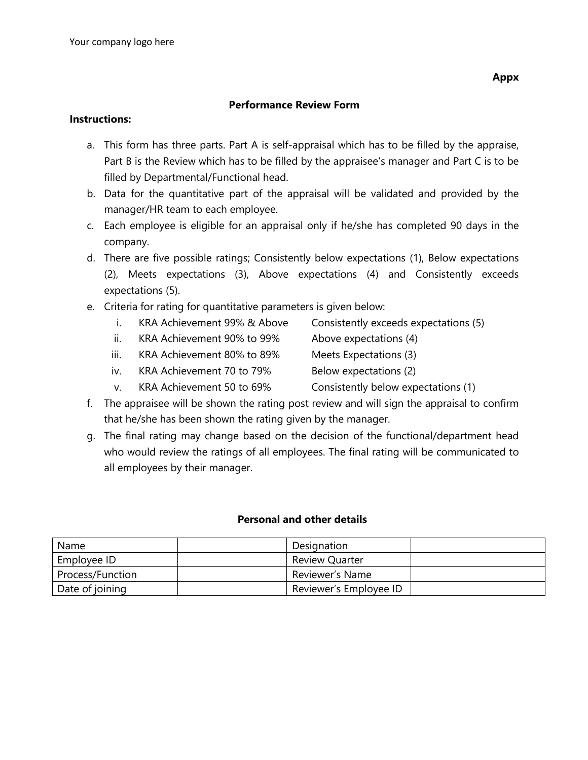#### **Performance Review Form**

#### **Instructions:**

- a. This form has three parts. Part A is self-appraisal which has to be filled by the appraise, Part B is the Review which has to be filled by the appraisee's manager and Part C is to be filled by Departmental/Functional head.
- b. Data for the quantitative part of the appraisal will be validated and provided by the manager/HR team to each employee.
- c. Each employee is eligible for an appraisal only if he/she has completed 90 days in the company.
- d. There are five possible ratings; Consistently below expectations (1), Below expectations (2), Meets expectations (3), Above expectations (4) and Consistently exceeds expectations (5).
- e. Criteria for rating for quantitative parameters is given below:
	- i. KRA Achievement 99% & Above Consistently exceeds expectations (5)
	- ii. KRA Achievement 90% to 99% Above expectations (4)
	- iii. KRA Achievement 80% to 89% Meets Expectations (3)
	- iv. KRA Achievement 70 to 79% Below expectations (2)
	- v. KRA Achievement 50 to 69% Consistently below expectations (1)
- f. The appraisee will be shown the rating post review and will sign the appraisal to confirm that he/she has been shown the rating given by the manager.
- g. The final rating may change based on the decision of the functional/department head who would review the ratings of all employees. The final rating will be communicated to all employees by their manager.

#### **Personal and other details**

| Name             | Designation            |  |
|------------------|------------------------|--|
| Employee ID      | <b>Review Quarter</b>  |  |
| Process/Function | Reviewer's Name        |  |
| Date of joining  | Reviewer's Employee ID |  |

**Appx** 

- 
- 
- 
-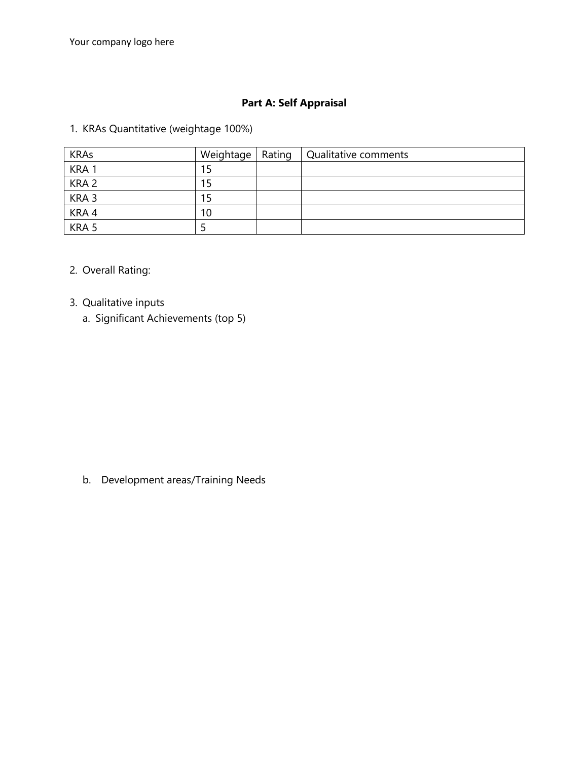# **Part A: Self Appraisal**

1. KRAs Quantitative (weightage 100%)

| <b>KRAs</b>      | Weightage   Rating | Qualitative comments |
|------------------|--------------------|----------------------|
| KRA1             | 15                 |                      |
| KRA <sub>2</sub> | 15                 |                      |
| KRA <sub>3</sub> | 15                 |                      |
| KRA 4            | 10                 |                      |
| KRA 5            |                    |                      |

### 2. Overall Rating:

# 3. Qualitative inputs

a. Significant Achievements (top 5)

b. Development areas/Training Needs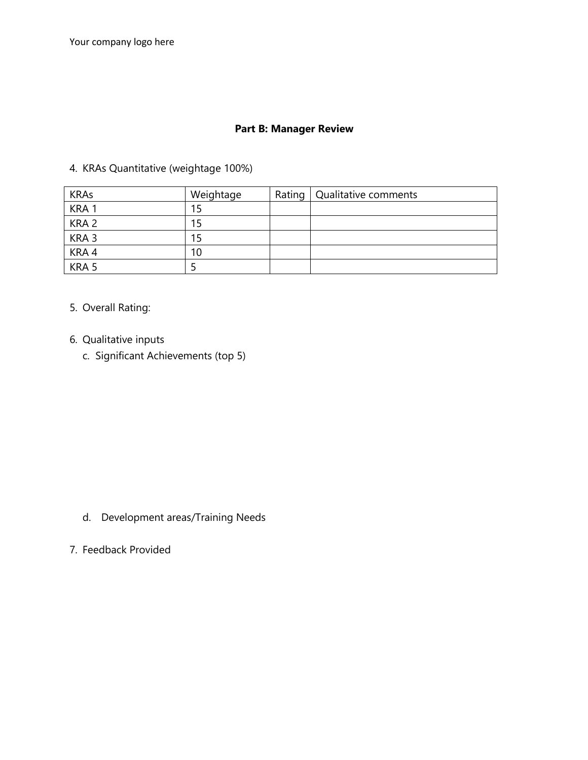# **Part B: Manager Review**

#### 4. KRAs Quantitative (weightage 100%)

| <b>KRAs</b>      | Weightage | Rating   Qualitative comments |
|------------------|-----------|-------------------------------|
| KRA <sub>1</sub> |           |                               |
| KRA <sub>2</sub> | 15        |                               |
| KRA <sub>3</sub> | 15        |                               |
| KRA4             | 10        |                               |
| KRA 5            |           |                               |

### 5. Overall Rating:

- 6. Qualitative inputs
	- c. Significant Achievements (top 5)

- d. Development areas/Training Needs
- 7. Feedback Provided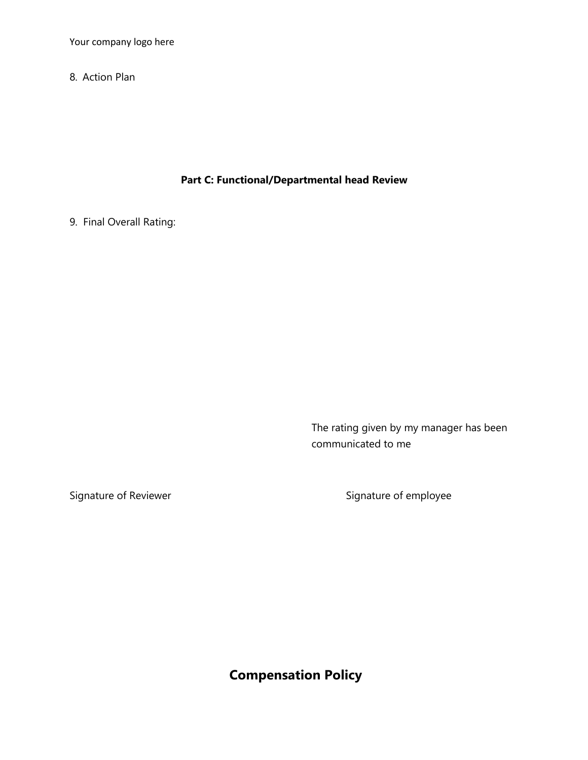Your company logo here

8. Action Plan

**Part C: Functional/Departmental head Review**

9. Final Overall Rating:

The rating given by my manager has been communicated to me

Signature of Reviewer Signature of employee

**Compensation Policy**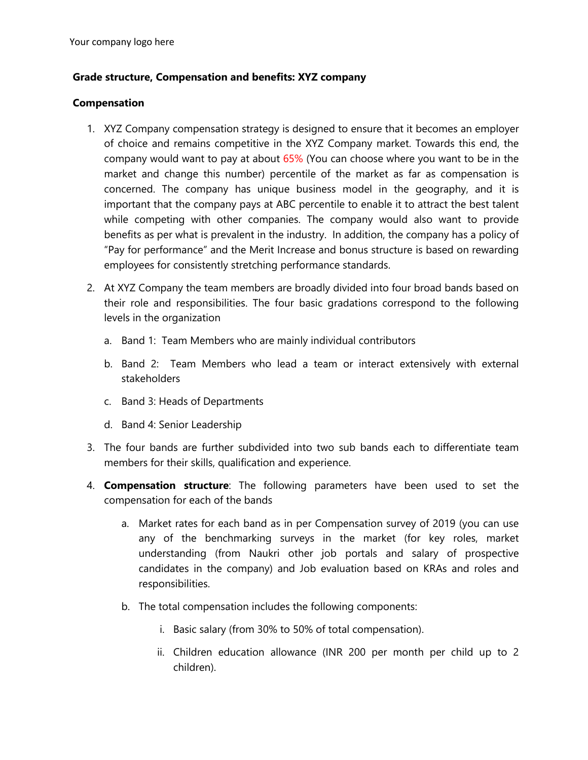#### **Grade structure, Compensation and benefits: XYZ company**

#### **Compensation**

- 1. XYZ Company compensation strategy is designed to ensure that it becomes an employer of choice and remains competitive in the XYZ Company market. Towards this end, the company would want to pay at about 65% (You can choose where you want to be in the market and change this number) percentile of the market as far as compensation is concerned. The company has unique business model in the geography, and it is important that the company pays at ABC percentile to enable it to attract the best talent while competing with other companies. The company would also want to provide benefits as per what is prevalent in the industry. In addition, the company has a policy of "Pay for performance" and the Merit Increase and bonus structure is based on rewarding employees for consistently stretching performance standards.
- 2. At XYZ Company the team members are broadly divided into four broad bands based on their role and responsibilities. The four basic gradations correspond to the following levels in the organization
	- a. Band 1: Team Members who are mainly individual contributors
	- b. Band 2: Team Members who lead a team or interact extensively with external stakeholders
	- c. Band 3: Heads of Departments
	- d. Band 4: Senior Leadership
- 3. The four bands are further subdivided into two sub bands each to differentiate team members for their skills, qualification and experience.
- 4. **Compensation structure**: The following parameters have been used to set the compensation for each of the bands
	- a. Market rates for each band as in per Compensation survey of 2019 (you can use any of the benchmarking surveys in the market (for key roles, market understanding (from Naukri other job portals and salary of prospective candidates in the company) and Job evaluation based on KRAs and roles and responsibilities.
	- b. The total compensation includes the following components:
		- i. Basic salary (from 30% to 50% of total compensation).
		- ii. Children education allowance (INR 200 per month per child up to 2 children).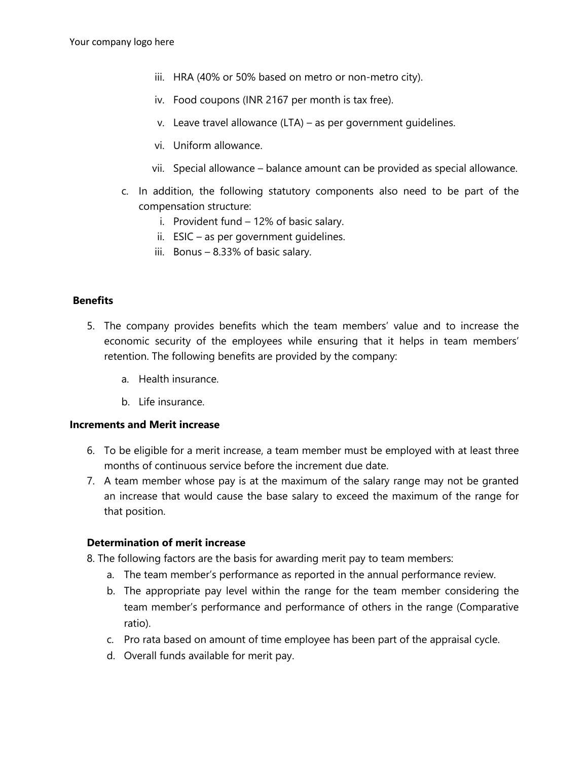- iii. HRA (40% or 50% based on metro or non-metro city).
- iv. Food coupons (INR 2167 per month is tax free).
- v. Leave travel allowance (LTA) as per government guidelines.
- vi. Uniform allowance.
- vii. Special allowance balance amount can be provided as special allowance.
- c. In addition, the following statutory components also need to be part of the compensation structure:
	- i. Provident fund 12% of basic salary.
	- ii. ESIC as per government guidelines.
	- iii. Bonus 8.33% of basic salary.

#### **Benefits**

- 5. The company provides benefits which the team members' value and to increase the economic security of the employees while ensuring that it helps in team members' retention. The following benefits are provided by the company:
	- a. Health insurance.
	- b. Life insurance.

#### **Increments and Merit increase**

- 6. To be eligible for a merit increase, a team member must be employed with at least three months of continuous service before the increment due date.
- 7. A team member whose pay is at the maximum of the salary range may not be granted an increase that would cause the base salary to exceed the maximum of the range for that position.

#### **Determination of merit increase**

8. The following factors are the basis for awarding merit pay to team members:

- a. The team member's performance as reported in the annual performance review.
- b. The appropriate pay level within the range for the team member considering the team member's performance and performance of others in the range (Comparative ratio).
- c. Pro rata based on amount of time employee has been part of the appraisal cycle.
- d. Overall funds available for merit pay.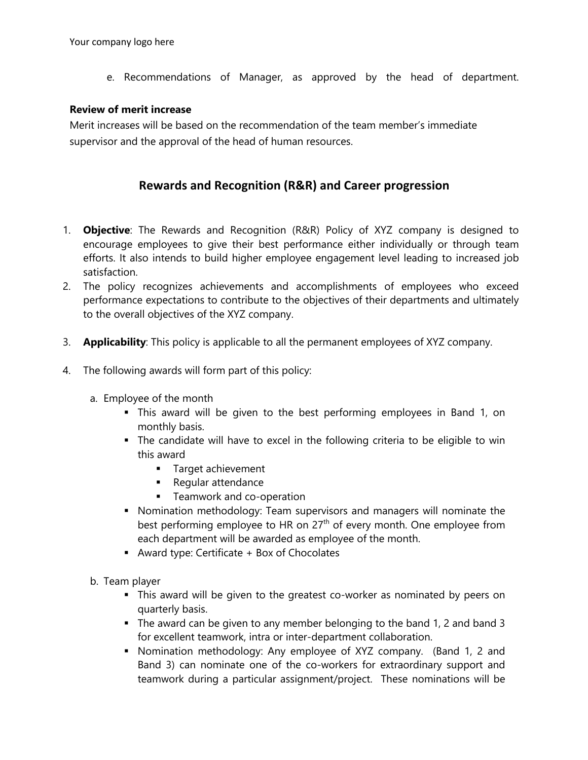e. Recommendations of Manager, as approved by the head of department.

#### **Review of merit increase**

Merit increases will be based on the recommendation of the team member's immediate supervisor and the approval of the head of human resources.

# **Rewards and Recognition (R&R) and Career progression**

- 1. **Objective**: The Rewards and Recognition (R&R) Policy of XYZ company is designed to encourage employees to give their best performance either individually or through team efforts. It also intends to build higher employee engagement level leading to increased job satisfaction.
- 2. The policy recognizes achievements and accomplishments of employees who exceed performance expectations to contribute to the objectives of their departments and ultimately to the overall objectives of the XYZ company.
- 3. **Applicability**: This policy is applicable to all the permanent employees of XYZ company.
- 4. The following awards will form part of this policy:
	- a. Employee of the month
		- This award will be given to the best performing employees in Band 1, on monthly basis.
		- The candidate will have to excel in the following criteria to be eligible to win this award
			- Target achievement
			- Regular attendance
			- **■** Teamwork and co-operation
		- § Nomination methodology: Team supervisors and managers will nominate the best performing employee to HR on 27<sup>th</sup> of every month. One employee from each department will be awarded as employee of the month.
		- Award type: Certificate + Box of Chocolates
	- b. Team player
		- § This award will be given to the greatest co-worker as nominated by peers on quarterly basis.
		- § The award can be given to any member belonging to the band 1, 2 and band 3 for excellent teamwork, intra or inter-department collaboration.
		- § Nomination methodology: Any employee of XYZ company. (Band 1, 2 and Band 3) can nominate one of the co-workers for extraordinary support and teamwork during a particular assignment/project. These nominations will be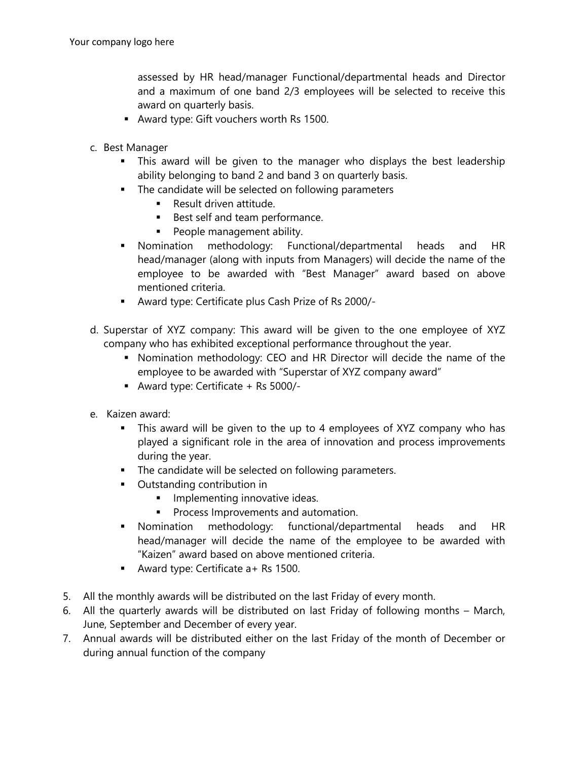assessed by HR head/manager Functional/departmental heads and Director and a maximum of one band 2/3 employees will be selected to receive this award on quarterly basis.

- § Award type: Gift vouchers worth Rs 1500.
- c. Best Manager
	- This award will be given to the manager who displays the best leadership ability belonging to band 2 and band 3 on quarterly basis.
	- **•** The candidate will be selected on following parameters
		- Result driven attitude.
		- Best self and team performance.
		- **•** People management ability.
	- § Nomination methodology: Functional/departmental heads and HR head/manager (along with inputs from Managers) will decide the name of the employee to be awarded with "Best Manager" award based on above mentioned criteria.
	- § Award type: Certificate plus Cash Prize of Rs 2000/-
- d. Superstar of XYZ company: This award will be given to the one employee of XYZ company who has exhibited exceptional performance throughout the year.
	- § Nomination methodology: CEO and HR Director will decide the name of the employee to be awarded with "Superstar of XYZ company award"
	- § Award type: Certificate + Rs 5000/-
- e. Kaizen award:
	- This award will be given to the up to 4 employees of XYZ company who has played a significant role in the area of innovation and process improvements during the year.
	- **•** The candidate will be selected on following parameters.
	- Outstanding contribution in
		- **•** Implementing innovative ideas.
		- **•** Process Improvements and automation.
	- § Nomination methodology: functional/departmental heads and HR head/manager will decide the name of the employee to be awarded with "Kaizen" award based on above mentioned criteria.
	- § Award type: Certificate a+ Rs 1500.
- 5. All the monthly awards will be distributed on the last Friday of every month.
- 6. All the quarterly awards will be distributed on last Friday of following months March, June, September and December of every year.
- 7. Annual awards will be distributed either on the last Friday of the month of December or during annual function of the company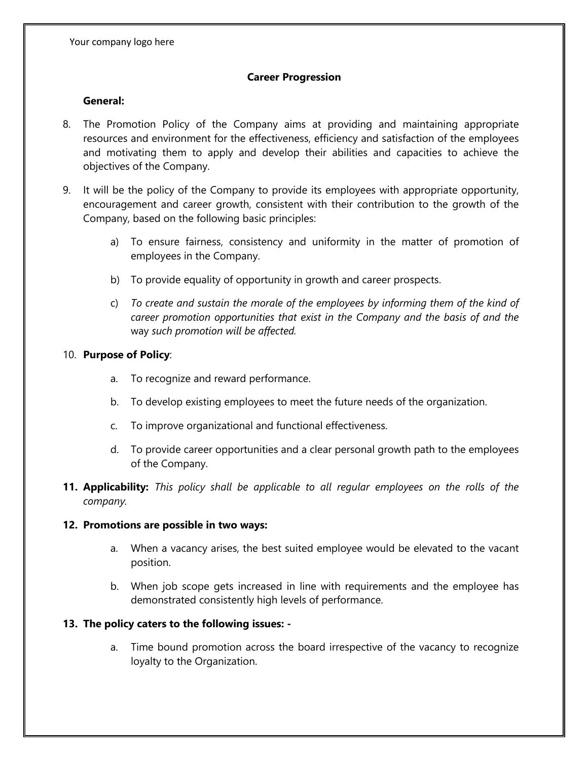#### **Career Progression**

#### **General:**

- 8. The Promotion Policy of the Company aims at providing and maintaining appropriate resources and environment for the effectiveness, efficiency and satisfaction of the employees and motivating them to apply and develop their abilities and capacities to achieve the objectives of the Company.
- 9. It will be the policy of the Company to provide its employees with appropriate opportunity, encouragement and career growth, consistent with their contribution to the growth of the Company, based on the following basic principles:
	- a) To ensure fairness, consistency and uniformity in the matter of promotion of employees in the Company.
	- b) To provide equality of opportunity in growth and career prospects.
	- c) *To create and sustain the morale of the employees by informing them of the kind of career promotion opportunities that exist in the Company and the basis of and the* way *such promotion will be affected.*

#### 10. **Purpose of Policy**:

- a. To recognize and reward performance.
- b. To develop existing employees to meet the future needs of the organization.
- c. To improve organizational and functional effectiveness.
- d. To provide career opportunities and a clear personal growth path to the employees of the Company.
- **11. Applicability:** *This policy shall be applicable to all regular employees on the rolls of the company.*

#### **12. Promotions are possible in two ways:**

- a. When a vacancy arises, the best suited employee would be elevated to the vacant position.
- b. When job scope gets increased in line with requirements and the employee has demonstrated consistently high levels of performance.

### **13. The policy caters to the following issues: -**

a. Time bound promotion across the board irrespective of the vacancy to recognize loyalty to the Organization.